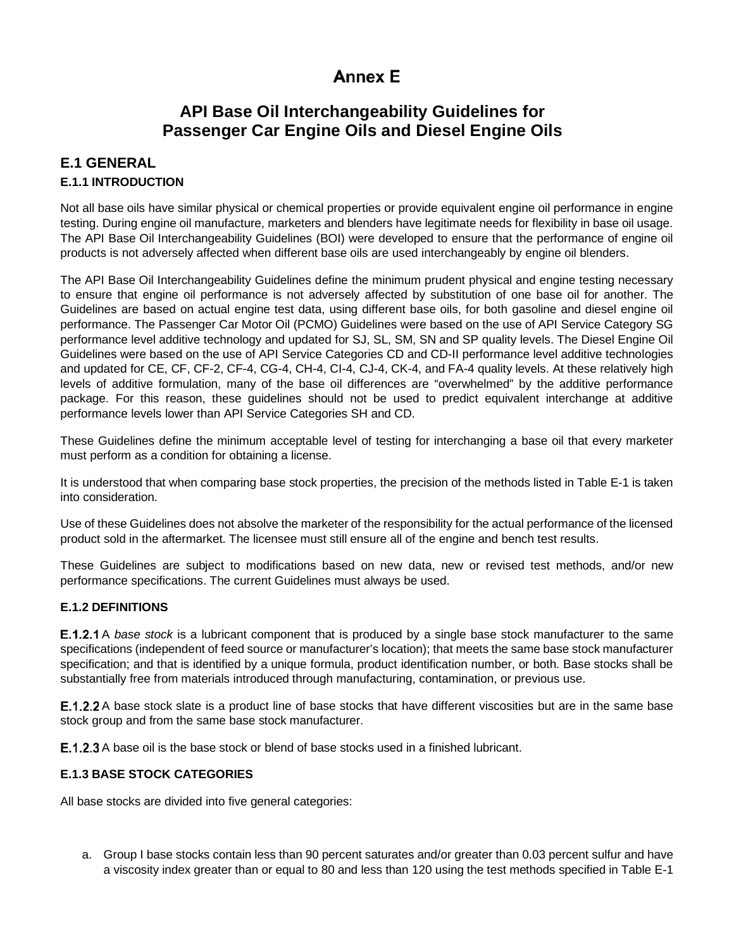# **Annex E**

# **API Base Oil Interchangeability Guidelines for Passenger Car Engine Oils and Diesel Engine Oils**

### **E.1 GENERAL E.1.1 INTRODUCTION**

Not all base oils have similar physical or chemical properties or provide equivalent engine oil performance in engine testing. During engine oil manufacture, marketers and blenders have legitimate needs for flexibility in base oil usage. The API Base Oil Interchangeability Guidelines (BOI) were developed to ensure that the performance of engine oil products is not adversely affected when different base oils are used interchangeably by engine oil blenders.

The API Base Oil Interchangeability Guidelines define the minimum prudent physical and engine testing necessary to ensure that engine oil performance is not adversely affected by substitution of one base oil for another. The Guidelines are based on actual engine test data, using different base oils, for both gasoline and diesel engine oil performance. The Passenger Car Motor Oil (PCMO) Guidelines were based on the use of API Service Category SG performance level additive technology and updated for SJ, SL, SM, SN and SP quality levels. The Diesel Engine Oil Guidelines were based on the use of API Service Categories CD and CD-II performance level additive technologies and updated for CE, CF, CF-2, CF-4, CG-4, CH-4, CI-4, CJ-4, CK-4, and FA-4 quality levels. At these relatively high levels of additive formulation, many of the base oil differences are "overwhelmed" by the additive performance package. For this reason, these guidelines should not be used to predict equivalent interchange at additive performance levels lower than API Service Categories SH and CD.

These Guidelines define the minimum acceptable level of testing for interchanging a base oil that every marketer must perform as a condition for obtaining a license.

It is understood that when comparing base stock properties, the precision of the methods listed in Table E-1 is taken into consideration.

Use of these Guidelines does not absolve the marketer of the responsibility for the actual performance of the licensed product sold in the aftermarket. The licensee must still ensure all of the engine and bench test results.

These Guidelines are subject to modifications based on new data, new or revised test methods, and/or new performance specifications. The current Guidelines must always be used.

### **E.1.2 DEFINITIONS**

**E.1.2.1** A *base stock* is a lubricant component that is produced by a single base stock manufacturer to the same specifications (independent of feed source or manufacturer's location); that meets the same base stock manufacturer specification; and that is identified by a unique formula, product identification number, or both. Base stocks shall be substantially free from materials introduced through manufacturing, contamination, or previous use.

**E.1.2.2** A base stock slate is a product line of base stocks that have different viscosities but are in the same base stock group and from the same base stock manufacturer.

**E.1.2.3** A base oil is the base stock or blend of base stocks used in a finished lubricant.

### **E.1.3 BASE STOCK CATEGORIES**

All base stocks are divided into five general categories:

a. Group I base stocks contain less than 90 percent saturates and/or greater than 0.03 percent sulfur and have a viscosity index greater than or equal to 80 and less than 120 using the test methods specified in [Table E-1](#page-1-0)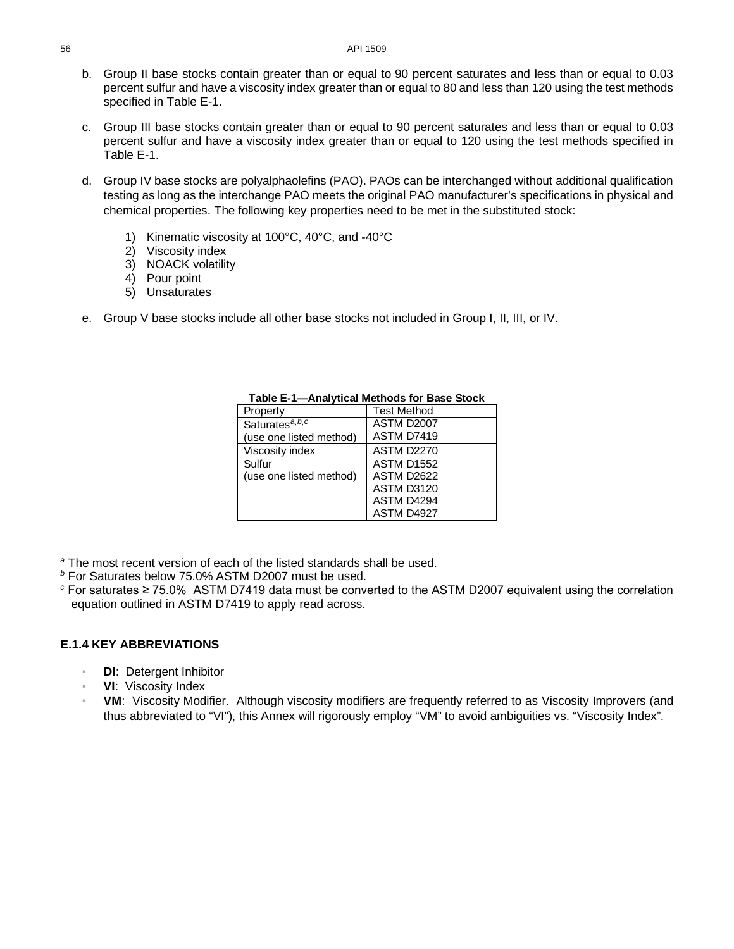- b. Group II base stocks contain greater than or equal to 90 percent saturates and less than or equal to 0.03 percent sulfur and have a viscosity index greater than or equal to 80 and less than 120 using the test methods specified in [Table E-1.](#page-1-0)
- c. Group III base stocks contain greater than or equal to 90 percent saturates and less than or equal to 0.03 percent sulfur and have a viscosity index greater than or equal to 120 using the test methods specified in [Table E-1.](#page-1-0)
- d. Group IV base stocks are polyalphaolefins (PAO). PAOs can be interchanged without additional qualification testing as long as the interchange PAO meets the original PAO manufacturer's specifications in physical and chemical properties. The following key properties need to be met in the substituted stock:
	- 1) Kinematic viscosity at 100°C, 40°C, and -40°C
	- 2) Viscosity index
	- 3) NOACK volatility
	- 4) Pour point
	- 5) Unsaturates
- <span id="page-1-0"></span>e. Group V base stocks include all other base stocks not included in Group I, II, III, or IV.

| Property                     | <b>Test Method</b> |
|------------------------------|--------------------|
| Saturates <sup>a, b, c</sup> | <b>ASTM D2007</b>  |
| (use one listed method)      | ASTM D7419         |
| Viscosity index              | <b>ASTM D2270</b>  |
| Sulfur                       | <b>ASTM D1552</b>  |
| (use one listed method)      | ASTM D2622         |
|                              | <b>ASTM D3120</b>  |
|                              | ASTM D4294         |
|                              | ASTM D4927         |

**Table E-1—Analytical Methods for Base Stock**

*<sup>a</sup>* The most recent version of each of the listed standards shall be used.

*<sup>b</sup>* For Saturates below 75.0% ASTM D2007 must be used.

*<sup>c</sup>* For saturates ≥ 75.0% ASTM D7419 data must be converted to the ASTM D2007 equivalent using the correlation equation outlined in ASTM D7419 to apply read across.

### **E.1.4 KEY ABBREVIATIONS**

- **DI**: Detergent Inhibitor
- **VI:** Viscosity Index
- **VM:** Viscosity Modifier. Although viscosity modifiers are frequently referred to as Viscosity Improvers (and thus abbreviated to "VI"), this Annex will rigorously employ "VM" to avoid ambiguities vs. "Viscosity Index".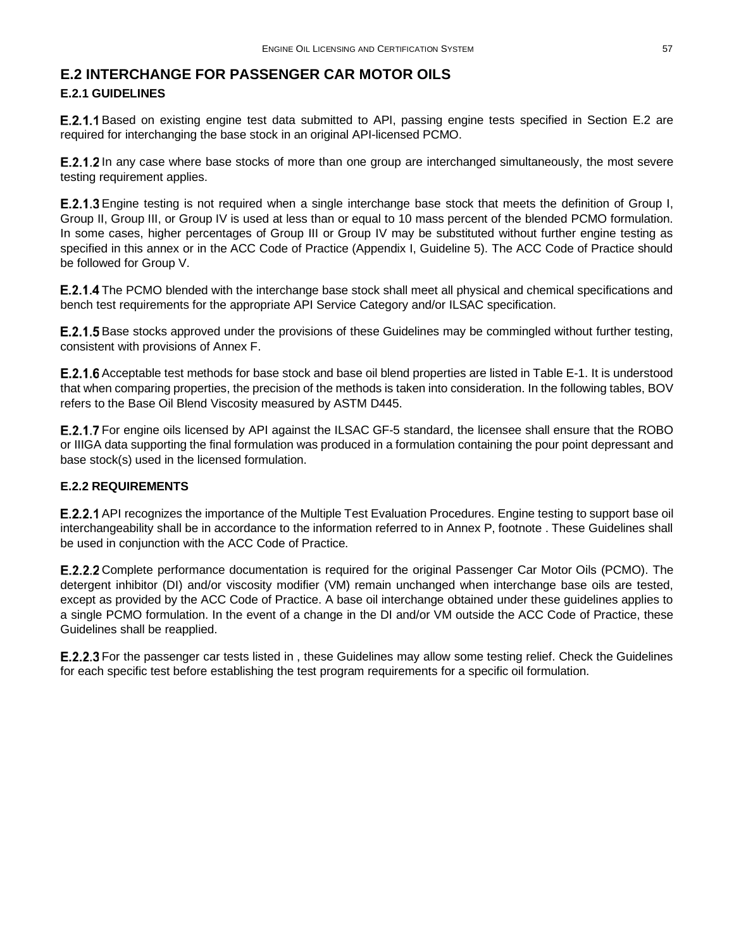### <span id="page-2-0"></span>**E.2 INTERCHANGE FOR PASSENGER CAR MOTOR OILS E.2.1 GUIDELINES**

**[E.2](#page-2-0).1.1** Based on existing engine test data submitted to API, passing engine tests specified in Section E.2 are required for interchanging the base stock in an original API-licensed PCMO.

**E.2.1.2** In any case where base stocks of more than one group are interchanged simultaneously, the most severe testing requirement applies.

E.2.1.3 Engine testing is not required when a single interchange base stock that meets the definition of Group I, Group II, Group III, or Group IV is used at less than or equal to 10 mass percent of the blended PCMO formulation. In some cases, higher percentages of Group III or Group IV may be substituted without further engine testing as specified in this annex or in the ACC Code of Practice (Appendix I, Guideline 5). The ACC Code of Practice should be followed for Group V.

**E.2.1.4** The PCMO blended with the interchange base stock shall meet all physical and chemical specifications and bench test requirements for the appropriate API Service Category and/or ILSAC specification.

**E.2.1.5** Base stocks approved under the provisions of these Guidelines may be commingled without further testing, consistent with provisions of Annex F.

Acceptable test methods for base stock and base oil blend properties are listed in [Table E-1.](#page-1-0) It is understood that when comparing properties, the precision of the methods is taken into consideration. In the following tables, BOV refers to the Base Oil Blend Viscosity measured by ASTM D445.

<span id="page-2-1"></span>**E.2.1.7** For engine oils licensed by API against the ILSAC GF-5 standard, the licensee shall ensure that the ROBO or IIIGA data supporting the final formulation was produced in a formulation containing the pour point depressant and base stock(s) used in the licensed formulation.

### **E.2.2 REQUIREMENTS**

**E.2.2.1** API recognizes the importance of the Multiple Test Evaluation Procedures. Engine testing to support base oil interchangeability shall be in accordance to the information referred to in Annex P, footnote . These Guidelines shall be used in conjunction with the ACC Code of Practice.

E.2.2.2 Complete performance documentation is required for the original Passenger Car Motor Oils (PCMO). The detergent inhibitor (DI) and/or viscosity modifier (VM) remain unchanged when interchange base oils are tested, except as provided by the ACC Code of Practice. A base oil interchange obtained under these guidelines applies to a single PCMO formulation. In the event of a change in the DI and/or VM outside the ACC Code of Practice, these Guidelines shall be reapplied.

E.2.2.3 For the passenger car tests listed in, these Guidelines may allow some testing relief. Check the Guidelines for each specific test before establishing the test program requirements for a specific oil formulation.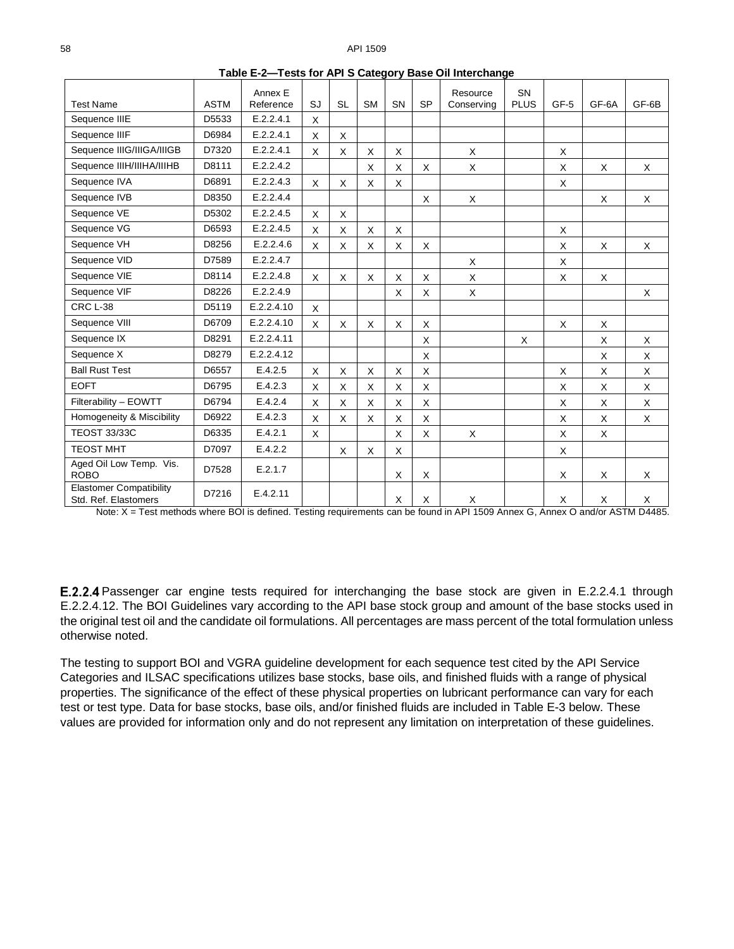|                                                        |             | Annex E    |              |           |              |              |           | Resource   | <b>SN</b>   |      |              |       |
|--------------------------------------------------------|-------------|------------|--------------|-----------|--------------|--------------|-----------|------------|-------------|------|--------------|-------|
| <b>Test Name</b>                                       | <b>ASTM</b> | Reference  | SJ           | <b>SL</b> | <b>SM</b>    | <b>SN</b>    | <b>SP</b> | Conserving | <b>PLUS</b> | GF-5 | GF-6A        | GF-6B |
| Sequence IIIE                                          | D5533       | E.2.2.4.1  | X            |           |              |              |           |            |             |      |              |       |
| Sequence IIIF                                          | D6984       | E.2.2.4.1  | $\mathsf{x}$ | X         |              |              |           |            |             |      |              |       |
| Sequence IIIG/IIIGA/IIIGB                              | D7320       | E.2.2.4.1  | $\mathsf{X}$ | X         | X            | X            |           | X          |             | X    |              |       |
| Sequence IIIH/IIIHA/IIIHB                              | D8111       | E.2.2.4.2  |              |           | X            | X            | X         | X          |             | X    | X            | X     |
| Sequence IVA                                           | D6891       | E.2.2.4.3  | X            | X         | X            | X            |           |            |             | X    |              |       |
| Sequence IVB                                           | D8350       | E.2.2.4.4  |              |           |              |              | $\times$  | X          |             |      | X            | X     |
| Sequence VE                                            | D5302       | E.2.2.4.5  | X            | X         |              |              |           |            |             |      |              |       |
| Sequence VG                                            | D6593       | E.2.2.4.5  | X            | X         | X            | X            |           |            |             | X    |              |       |
| Sequence VH                                            | D8256       | E.2.2.4.6  | X            | X         | X            | X            | X         |            |             | X    | X            | X     |
| Sequence VID                                           | D7589       | E.2.2.4.7  |              |           |              |              |           | X          |             | X    |              |       |
| Sequence VIE                                           | D8114       | E.2.2.4.8  | $\mathsf{X}$ | X         | X            | X            | X         | X          |             | X    | X            |       |
| Sequence VIF                                           | D8226       | E.2.2.4.9  |              |           |              | X            | X         | X          |             |      |              | X     |
| CRC L-38                                               | D5119       | E.2.2.4.10 | X            |           |              |              |           |            |             |      |              |       |
| Sequence VIII                                          | D6709       | E.2.2.4.10 | $\mathsf{X}$ | X         | X            | $\mathsf{X}$ | $\times$  |            |             | X    | X            |       |
| Sequence IX                                            | D8291       | E.2.2.4.11 |              |           |              |              | $\times$  |            | X           |      | X            | X     |
| Sequence X                                             | D8279       | E.2.2.4.12 |              |           |              |              | X         |            |             |      | X            | X     |
| <b>Ball Rust Test</b>                                  | D6557       | E.4.2.5    | $\mathsf{X}$ | X         | X            | X            | X         |            |             | X    | X            | X     |
| <b>EOFT</b>                                            | D6795       | E.4.2.3    | X            | X         | X            | X            | X         |            |             | X    | X            | X     |
| Filterability - EOWTT                                  | D6794       | E.4.2.4    | X            | X         | $\mathsf{x}$ | X            | $\times$  |            |             | X    | $\mathsf{x}$ | X     |
| Homogeneity & Miscibility                              | D6922       | E.4.2.3    | X            | X         | $\times$     | X            | X         |            |             | X    | X            | X     |
| <b>TEOST 33/33C</b>                                    | D6335       | E.4.2.1    | X            |           |              | X            | X         | X          |             | X    | X            |       |
| <b>TEOST MHT</b>                                       | D7097       | E.4.2.2    |              | X         | X            | X            |           |            |             | X    |              |       |
| Aged Oil Low Temp. Vis.<br><b>ROBO</b>                 | D7528       | E.2.1.7    |              |           |              | X            | X         |            |             | X    | X            | X     |
| <b>Elastomer Compatibility</b><br>Std. Ref. Elastomers | D7216       | E.4.2.11   |              |           |              | X            | X         | X          |             | X    | X            | X     |

**Table E-2—Tests for API S Category Base Oil Interchange**

Note: X = Test methods where BOI is defined. Testing requirements can be found in API 1509 Annex G, Annex O and/or ASTM D4485.

E.2.2.4 Passenger car engine tests required for interchanging the base stock are given in [E.2.2.4.1](#page-4-3) through [E.2.2.4.12.](#page-11-1) The BOI Guidelines vary according to the API base stock group and amount of the base stocks used in the original test oil and the candidate oil formulations. All percentages are mass percent of the total formulation unless otherwise noted.

The testing to support BOI and VGRA guideline development for each sequence test cited by the API Service Categories and ILSAC specifications utilizes base stocks, base oils, and finished fluids with a range of physical properties. The significance of the effect of these physical properties on lubricant performance can vary for each test or test type. Data for base stocks, base oils, and/or finished fluids are included in [Table E-3](#page-4-4) below. These values are provided for information only and do not represent any limitation on interpretation of these guidelines.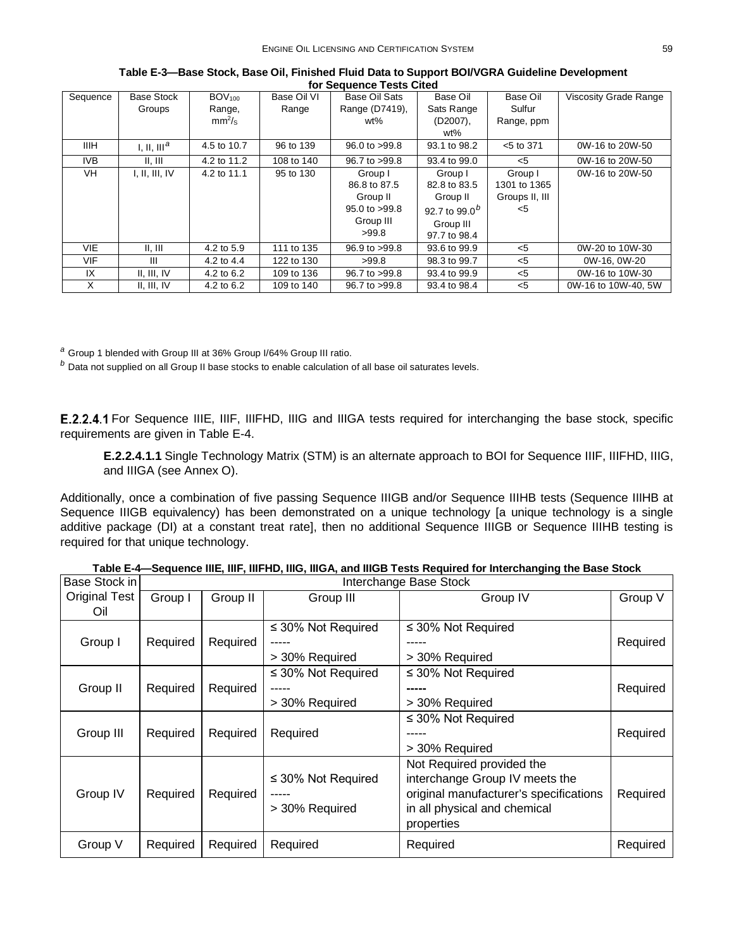<span id="page-4-4"></span>

| Sequence   | <b>Base Stock</b>       | $BOV_{100}$        | Base Oil VI | Base Oil Sats             | Base Oil                  | Base Oil       | Viscosity Grade Range |
|------------|-------------------------|--------------------|-------------|---------------------------|---------------------------|----------------|-----------------------|
|            | Groups                  | Range,             | Range       | Range (D7419),            | Sats Range                | Sulfur         |                       |
|            |                         | mm <sup>2</sup> /s |             | wt%                       | $(D2007)$ ,               | Range, ppm     |                       |
|            |                         |                    |             |                           | wt%                       |                |                       |
| IIIH.      | I, II, III <sup>a</sup> | 4.5 to 10.7        | 96 to 139   | $96.0 \text{ to } > 99.8$ | 93.1 to 98.2              | $<$ 5 to 371   | 0W-16 to 20W-50       |
| IVB        | II, III                 | 4.2 to 11.2        | 108 to 140  | 96.7 to >99.8             | 93.4 to 99.0              | $<$ 5          | 0W-16 to 20W-50       |
| VH         | I, II, III, IV          | 4.2 to 11.1        | 95 to 130   | Group I                   | Group I                   | Group I        | 0W-16 to 20W-50       |
|            |                         |                    |             | 86.8 to 87.5              | 82.8 to 83.5              | 1301 to 1365   |                       |
|            |                         |                    |             | Group II                  | Group II                  | Groups II, III |                       |
|            |                         |                    |             | 95.0 to >99.8             | 92.7 to 99.0 <sup>b</sup> | $<$ 5          |                       |
|            |                         |                    |             | Group III                 | Group III                 |                |                       |
|            |                         |                    |             | >99.8                     | 97.7 to 98.4              |                |                       |
| <b>VIE</b> | II, III                 | 4.2 to 5.9         | 111 to 135  | $96.9$ to $>99.8$         | 93.6 to 99.9              | $<$ 5          | 0W-20 to 10W-30       |
| <b>VIF</b> | $\mathbf{III}$          | 4.2 to 4.4         | 122 to 130  | >99.8                     | 98.3 to 99.7              | $<$ 5          | 0W-16, 0W-20          |
| IX         | II, III, IV             | 4.2 to 6.2         | 109 to 136  | 96.7 to >99.8             | 93.4 to 99.9              | $<$ 5          | 0W-16 to 10W-30       |
| X          | II, III, IV             | 4.2 to 6.2         | 109 to 140  | 96.7 to >99.8             | 93.4 to 98.4              | $<$ 5          | 0W-16 to 10W-40, 5W   |

**Table E-3—Base Stock, Base Oil, Finished Fluid Data to Support BOI/VGRA Guideline Development for Sequence Tests Cited**

*<sup>a</sup>* Group 1 blended with Group III at 36% Group I/64% Group III ratio.

*<sup>b</sup>* Data not supplied on all Group II base stocks to enable calculation of all base oil saturates levels.

<span id="page-4-3"></span>E.2.2.4.1 For Sequence IIIE, IIIF, IIIFHD, IIIG and IIIGA tests required for interchanging the base stock, specific requirements are given in [Table E-4.](#page-4-5)

**E.2.2.4.1.1** Single Technology Matrix (STM) is an alternate approach to BOI for Sequence IIIF, IIIFHD, IIIG, and IIIGA (see Annex O).

Additionally, once a combination of five passing Sequence IIIGB and/or Sequence IIIHB tests (Sequence IIIHB at Sequence IIIGB equivalency) has been demonstrated on a unique technology [a unique technology is a single additive package (DI) at a constant treat rate], then no additional Sequence IIIGB or Sequence IIIHB testing is required for that unique technology.

<span id="page-4-5"></span><span id="page-4-2"></span><span id="page-4-1"></span><span id="page-4-0"></span>

| Base Stock in        |          | Interchange Base Stock |                                           |                                                                                                                                                     |          |  |  |
|----------------------|----------|------------------------|-------------------------------------------|-----------------------------------------------------------------------------------------------------------------------------------------------------|----------|--|--|
| Original Test<br>Oil | Group I  | Group II               | Group III                                 | Group IV                                                                                                                                            | Group V  |  |  |
| Group I              | Required | Required               | $\leq$ 30% Not Required<br>> 30% Required | $\leq$ 30% Not Required<br>> 30% Required                                                                                                           | Required |  |  |
| Group II             | Required | Required               | $\leq$ 30% Not Required<br>> 30% Required | $\leq$ 30% Not Required<br>-----<br>> 30% Required                                                                                                  | Required |  |  |
| Group III            | Required | Required               | Required                                  | $\leq$ 30% Not Required<br>> 30% Required                                                                                                           | Required |  |  |
| Group IV             | Required | Required               | $\leq$ 30% Not Required<br>> 30% Required | Not Required provided the<br>interchange Group IV meets the<br>original manufacturer's specifications<br>in all physical and chemical<br>properties | Required |  |  |
| Group V              | Required | Required               | Required                                  | Required                                                                                                                                            | Required |  |  |

**Table E-4—Sequence IIIE, IIIF, IIIFHD, IIIG, IIIGA, and IIIGB Tests Required for Interchanging the Base Stock**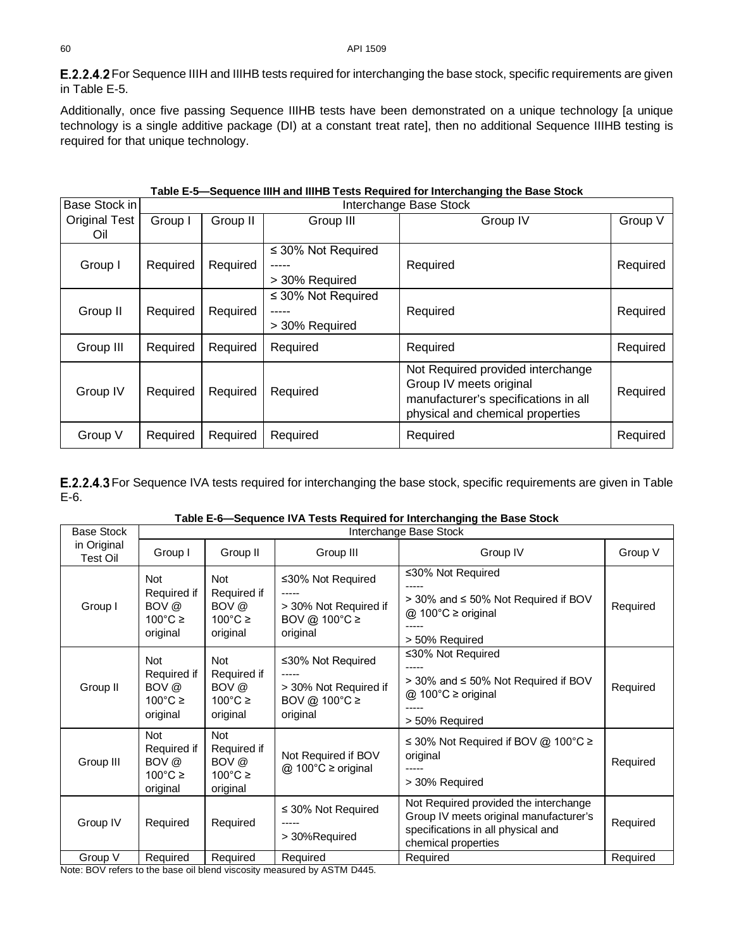<span id="page-5-0"></span>E.2.2.4.2 For Sequence IIIH and IIIHB tests required for interchanging the base stock, specific requirements are given in [Table E-5.](#page-5-2)

Additionally, once five passing Sequence IIIHB tests have been demonstrated on a unique technology [a unique technology is a single additive package (DI) at a constant treat rate], then no additional Sequence IIIHB testing is required for that unique technology.

<span id="page-5-2"></span>

| Base Stock in        |          | Interchange Base Stock |                         |                                                                                                                                          |          |  |  |  |
|----------------------|----------|------------------------|-------------------------|------------------------------------------------------------------------------------------------------------------------------------------|----------|--|--|--|
| <b>Original Test</b> | Group I  | Group II               | Group III               | Group IV                                                                                                                                 | Group V  |  |  |  |
| Oil                  |          |                        |                         |                                                                                                                                          |          |  |  |  |
|                      |          |                        | $\leq$ 30% Not Required |                                                                                                                                          |          |  |  |  |
| Group I              | Required | Required               |                         | Required                                                                                                                                 | Required |  |  |  |
|                      |          |                        | > 30% Required          |                                                                                                                                          |          |  |  |  |
|                      |          |                        | $\leq$ 30% Not Required |                                                                                                                                          |          |  |  |  |
| Group II             | Required | Required               |                         | Required                                                                                                                                 | Required |  |  |  |
|                      |          |                        | > 30% Required          |                                                                                                                                          |          |  |  |  |
| Group III            | Required | Required               | Required                | Required                                                                                                                                 | Required |  |  |  |
| Group IV             | Required | Required               | Required                | Not Required provided interchange<br>Group IV meets original<br>manufacturer's specifications in all<br>physical and chemical properties | Required |  |  |  |
| Group V              | Required | Required               | Required                | Required                                                                                                                                 | Required |  |  |  |

<span id="page-5-1"></span>E.2.2.4.3 For Sequence IVA tests required for interchanging the base stock, specific requirements are given in Table [E-6.](#page-5-3)

| Table E-6-Sequence IVA Tests Required for Interchanging the Base Stock |  |  |
|------------------------------------------------------------------------|--|--|
|------------------------------------------------------------------------|--|--|

<span id="page-5-3"></span>

| <b>Base Stock</b>              | Interchange Base Stock                                              |                                                                     |                                                                                         |                                                                                                                                              |          |  |  |
|--------------------------------|---------------------------------------------------------------------|---------------------------------------------------------------------|-----------------------------------------------------------------------------------------|----------------------------------------------------------------------------------------------------------------------------------------------|----------|--|--|
| in Original<br><b>Test Oil</b> | Group I                                                             | Group II                                                            | Group III                                                                               | Group IV                                                                                                                                     | Group V  |  |  |
| Group I                        | Not<br>Required if<br>BOV @<br>$100^{\circ}$ C ≥<br>original        | <b>Not</b><br>Required if<br>BOV @<br>$100^{\circ}$ C ≥<br>original | $\leq$ 30% Not Required<br>> 30% Not Required if<br>BOV @ 100 $\degree$ C ≥<br>original | ≤30% Not Required<br>> 30% and ≤ 50% Not Required if BOV<br>@ 100 $°C$ ≥ original<br>> 50% Required                                          | Required |  |  |
| Group II                       | <b>Not</b><br>Required if<br>BOV @<br>$100^{\circ}$ C ≥<br>original | <b>Not</b><br>Required if<br>BOV @<br>$100^{\circ}$ C ≥<br>original | ≤30% Not Required<br>> 30% Not Required if<br>BOV @ 100°C ≥<br>original                 | ≤30% Not Required<br>> 30% and ≤ 50% Not Required if BOV<br>@ 100°C ≥ original<br>> 50% Required                                             | Required |  |  |
| Group III                      | <b>Not</b><br>Required if<br>BOV @<br>$100^{\circ}$ C ≥<br>original | <b>Not</b><br>Required if<br>BOV @<br>$100^{\circ}$ C ≥<br>original | Not Required if BOV<br>@ 100°C ≥ original                                               | ≤ 30% Not Required if BOV @ 100°C ≥<br>original<br>> 30% Required                                                                            | Required |  |  |
| Group IV                       | Required                                                            | Required                                                            | $\leq$ 30% Not Required<br>-----<br>> 30%Required                                       | Not Required provided the interchange<br>Group IV meets original manufacturer's<br>specifications in all physical and<br>chemical properties | Required |  |  |
| Group V                        | Required                                                            | Required                                                            | Required                                                                                | Required                                                                                                                                     | Required |  |  |

Note: BOV refers to the base oil blend viscosity measured by ASTM D445.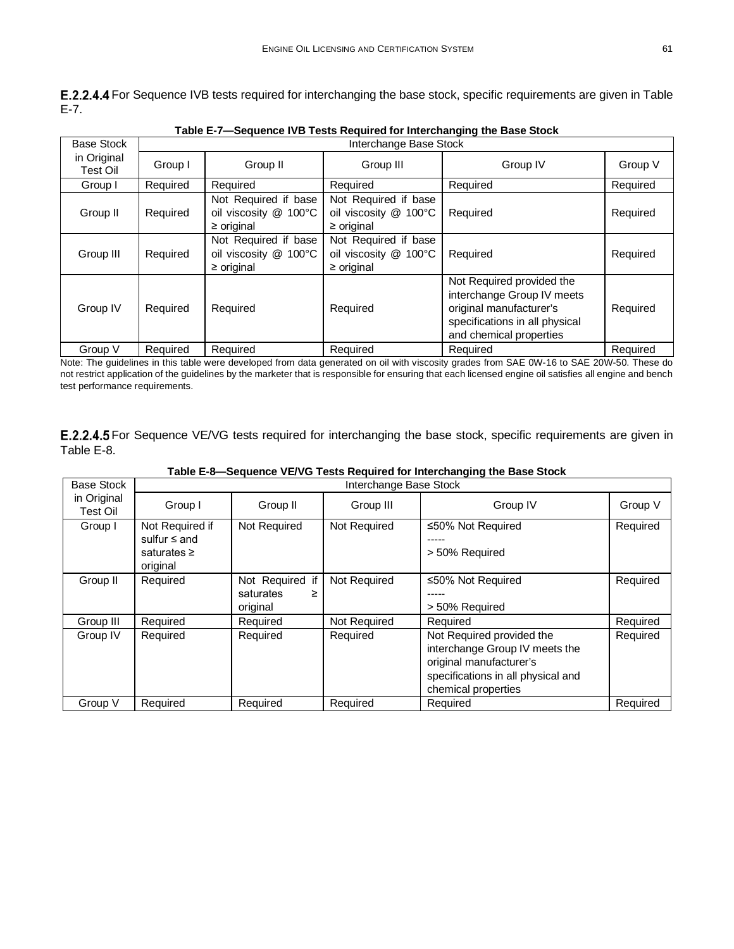<span id="page-6-0"></span>E.2.2.4.4 For Sequence IVB tests required for interchanging the base stock, specific requirements are given in Table [E-7.](#page-6-2)

<span id="page-6-2"></span>

|                         |                        | Lable E-7—5 equence TVD Tests Required for interchanging the base Stock |                                                                  |                                                                                                                                                 |          |  |  |  |
|-------------------------|------------------------|-------------------------------------------------------------------------|------------------------------------------------------------------|-------------------------------------------------------------------------------------------------------------------------------------------------|----------|--|--|--|
| <b>Base Stock</b>       | Interchange Base Stock |                                                                         |                                                                  |                                                                                                                                                 |          |  |  |  |
| in Original<br>Test Oil | Group I                | Group II                                                                | Group III                                                        | Group IV                                                                                                                                        | Group V  |  |  |  |
| Group I                 | Required               | Required                                                                | Required                                                         | Required                                                                                                                                        | Required |  |  |  |
| Group II                | Required               | Not Required if base<br>oil viscosity @ 100°C<br>$\geq$ original        | Not Required if base<br>oil viscosity @ 100°C<br>$\geq$ original | Required                                                                                                                                        | Required |  |  |  |
| Group III               | Required               | Not Required if base<br>oil viscosity @ 100°C<br>$\geq$ original        | Not Required if base<br>oil viscosity @ 100°C<br>$\geq$ original | Required                                                                                                                                        | Required |  |  |  |
| Group IV                | Required               | Required                                                                | Required                                                         | Not Required provided the<br>interchange Group IV meets<br>original manufacturer's<br>specifications in all physical<br>and chemical properties | Required |  |  |  |
| Group V                 | Required               | Required                                                                | Required                                                         | Required                                                                                                                                        | Required |  |  |  |

**Table E-7—Sequence IVB Tests Required for Interchanging the Base Stock**

Note: The guidelines in this table were developed from data generated on oil with viscosity grades from SAE 0W-16 to SAE 20W-50. These do not restrict application of the guidelines by the marketer that is responsible for ensuring that each licensed engine oil satisfies all engine and bench test performance requirements.

<span id="page-6-1"></span>E.2.2.4.5 For Sequence VE/VG tests required for interchanging the base stock, specific requirements are given in [Table E-8.](#page-6-3)

<span id="page-6-3"></span>

| <b>Base Stock</b>       |                                                                      | Interchange Base Stock                        |              |                                                                                                                                                     |          |  |  |
|-------------------------|----------------------------------------------------------------------|-----------------------------------------------|--------------|-----------------------------------------------------------------------------------------------------------------------------------------------------|----------|--|--|
| in Original<br>Test Oil | Group I                                                              | Group II                                      | Group III    | Group IV                                                                                                                                            | Group V  |  |  |
| Group I                 | Not Required if<br>sulfur $\leq$ and<br>saturates $\geq$<br>original | Not Required                                  | Not Required | ≤50% Not Required<br>> 50% Required                                                                                                                 | Required |  |  |
| Group II                | Required                                                             | Not Required if<br>saturates<br>≥<br>original | Not Required | ≤50% Not Required<br>> 50% Required                                                                                                                 | Required |  |  |
| Group III               | Required                                                             | Required                                      | Not Required | Required                                                                                                                                            | Required |  |  |
| Group IV                | Required                                                             | Required                                      | Required     | Not Required provided the<br>interchange Group IV meets the<br>original manufacturer's<br>specifications in all physical and<br>chemical properties | Required |  |  |
| Group V                 | Required                                                             | Required                                      | Required     | Required                                                                                                                                            | Required |  |  |

**Table E-8—Sequence VE/VG Tests Required for Interchanging the Base Stock**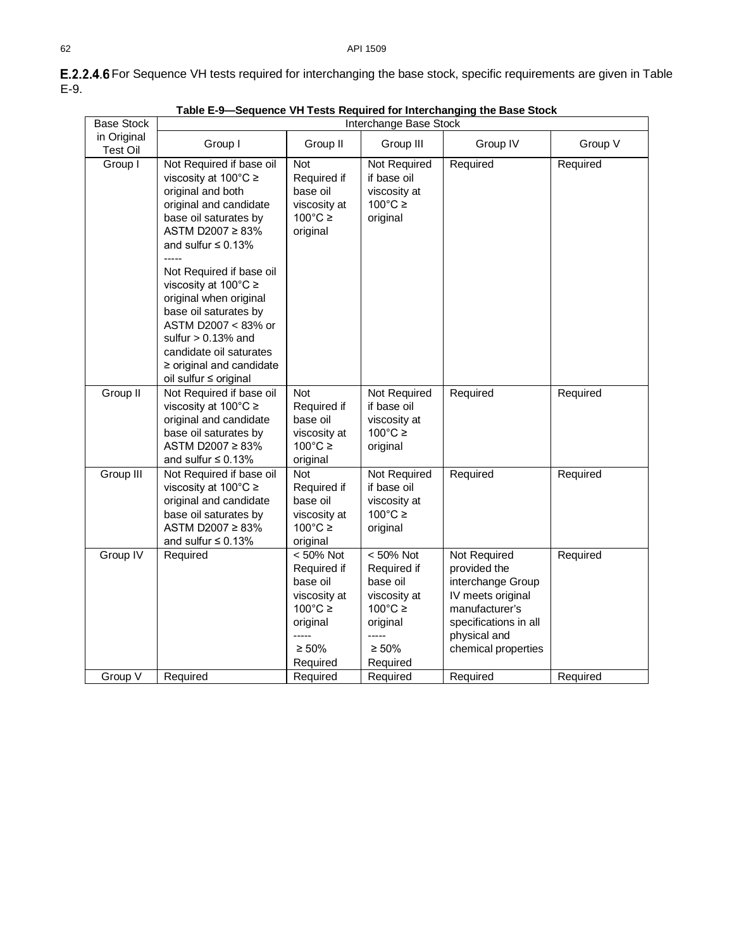<span id="page-7-1"></span>

|                         | Table E-9-Sequence VH Tests Required for Interchanging the Base Stock                                                                                                                                                                                 |                                                                                                                           |                                                                                                                              |                                                                                                                                                          |          |  |  |  |
|-------------------------|-------------------------------------------------------------------------------------------------------------------------------------------------------------------------------------------------------------------------------------------------------|---------------------------------------------------------------------------------------------------------------------------|------------------------------------------------------------------------------------------------------------------------------|----------------------------------------------------------------------------------------------------------------------------------------------------------|----------|--|--|--|
| <b>Base Stock</b>       | Interchange Base Stock                                                                                                                                                                                                                                |                                                                                                                           |                                                                                                                              |                                                                                                                                                          |          |  |  |  |
| in Original<br>Test Oil | Group I                                                                                                                                                                                                                                               | Group II                                                                                                                  | Group III                                                                                                                    | Group IV                                                                                                                                                 | Group V  |  |  |  |
| Group I                 | Not Required if base oil<br>viscosity at 100°C ≥<br>original and both<br>original and candidate<br>base oil saturates by<br>ASTM D2007 ≥ 83%<br>and sulfur $\leq 0.13\%$                                                                              | Not<br>Required if<br>base oil<br>viscosity at<br>$100^{\circ}$ C ≥<br>original                                           | Not Required<br>if base oil<br>viscosity at<br>$100^{\circ}$ C ≥<br>original                                                 | Required                                                                                                                                                 | Required |  |  |  |
|                         | Not Required if base oil<br>viscosity at $100^{\circ}$ C $\ge$<br>original when original<br>base oil saturates by<br>ASTM D2007 < 83% or<br>sulfur $> 0.13\%$ and<br>candidate oil saturates<br>$\ge$ original and candidate<br>oil sulfur ≤ original |                                                                                                                           |                                                                                                                              |                                                                                                                                                          |          |  |  |  |
| Group II                | Not Required if base oil<br>viscosity at 100°C ≥<br>original and candidate<br>base oil saturates by<br>ASTM D2007 ≥ 83%<br>and sulfur $\leq 0.13\%$                                                                                                   | <b>Not</b><br>Required if<br>base oil<br>viscosity at<br>$100^{\circ}$ C ≥<br>original                                    | Not Required<br>if base oil<br>viscosity at<br>$100^{\circ}$ C ≥<br>original                                                 | Required                                                                                                                                                 | Required |  |  |  |
| Group III               | Not Required if base oil<br>viscosity at 100°C ≥<br>original and candidate<br>base oil saturates by<br>ASTM D2007 ≥ 83%<br>and sulfur $\leq 0.13\%$                                                                                                   | Not<br>Required if<br>base oil<br>viscosity at<br>$100^{\circ}$ C ≥<br>original                                           | Not Required<br>if base oil<br>viscosity at<br>$100^{\circ}$ C $\geq$<br>original                                            | Required                                                                                                                                                 | Required |  |  |  |
| Group IV                | Required                                                                                                                                                                                                                                              | < 50% Not<br>Required if<br>base oil<br>viscosity at<br>$100^{\circ}$ C ≥<br>original<br>-----<br>$\geq 50\%$<br>Required | $< 50\%$ Not<br>Required if<br>base oil<br>viscosity at<br>$100^{\circ}$ C ≥<br>original<br>-----<br>$\geq 50\%$<br>Required | Not Required<br>provided the<br>interchange Group<br>IV meets original<br>manufacturer's<br>specifications in all<br>physical and<br>chemical properties | Required |  |  |  |
| Group V                 | Required                                                                                                                                                                                                                                              | Required                                                                                                                  | Required                                                                                                                     | Required                                                                                                                                                 | Required |  |  |  |

<span id="page-7-0"></span>E.2.2.4.6 For Sequence VH tests required for interchanging the base stock, specific requirements are given in Table [E-9.](#page-7-1)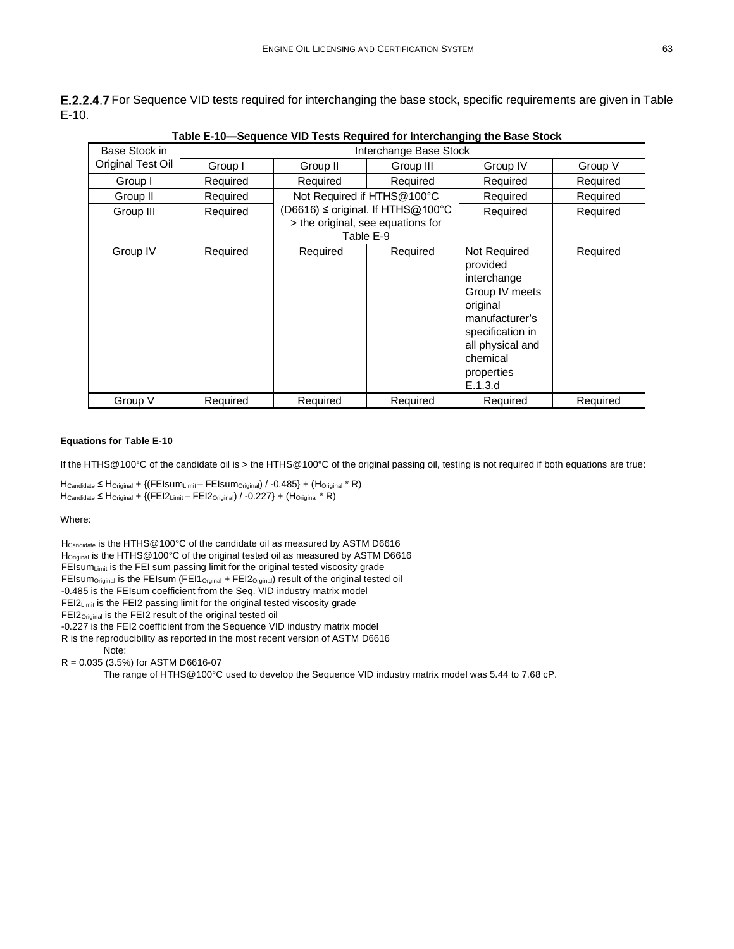<span id="page-8-0"></span>E.2.2.4.7 For Sequence VID tests required for interchanging the base stock, specific requirements are given in Table [E-10.](#page-8-3)

<span id="page-8-3"></span>

| Base Stock in     | an oa ror mitoronanging tiro Daoo<br>Interchange Base Stock |          |                                                                                     |                                                                                                                                                                      |          |  |
|-------------------|-------------------------------------------------------------|----------|-------------------------------------------------------------------------------------|----------------------------------------------------------------------------------------------------------------------------------------------------------------------|----------|--|
| Original Test Oil | Group I                                                     | Group II | Group III                                                                           | Group IV                                                                                                                                                             | Group V  |  |
| Group I           | Required                                                    | Required | Required                                                                            | Required                                                                                                                                                             | Required |  |
| Group II          | Required                                                    |          | Not Required if HTHS@100°C                                                          | Required                                                                                                                                                             | Required |  |
| Group III         | Required                                                    |          | (D6616) ≤ original. If HTHS@100°C<br>> the original, see equations for<br>Table E-9 | Required                                                                                                                                                             | Required |  |
| Group IV          | Required                                                    | Required | Required                                                                            | Not Required<br>provided<br>interchange<br>Group IV meets<br>original<br>manufacturer's<br>specification in<br>all physical and<br>chemical<br>properties<br>E.1.3.d | Required |  |
| Group V           | Required                                                    | Required | Required                                                                            | Required                                                                                                                                                             | Required |  |

**Table E-10—Sequence VID Tests Required for Interchanging the Base Stock**

#### <span id="page-8-2"></span><span id="page-8-1"></span>**Equations for [Table E-10](#page-8-3)**

If the HTHS@100°C of the candidate oil is > the HTHS@100°C of the original passing oil, testing is not required if both equations are true:

 $H_{\text{Candidate}} \leq H_{\text{Original}} + \{(FElsum_{Limit} - FEIsum_{\text{Original}}) / -0.485\} + (H_{\text{Original}} * R)\}$  $H_{\text{Candidate}} \leq H_{\text{Original}} + \{ (FEl2_{\text{Limit}} - FEI2_{\text{Original}}) / -0.227 \} + (H_{\text{Original}} * R)$ 

#### Where:

H<sub>Candidate</sub> is the HTHS@100°C of the candidate oil as measured by ASTM D6616 H<sub>Original</sub> is the HTHS@100°C of the original tested oil as measured by ASTM D6616 FEIsumLimit is the FEI sum passing limit for the original tested viscosity grade FEIsum<sub>Original</sub> is the FEIsum (FEI1<sub>Orginal</sub> + FEI2<sub>Orginal</sub>) result of the original tested oil -0.485 is the FEIsum coefficient from the Seq. VID industry matrix model FEI2Limit is the FEI2 passing limit for the original tested viscosity grade FEI2Original is the FEI2 result of the original tested oil -0.227 is the FEI2 coefficient from the Sequence VID industry matrix model R is the reproducibility as reported in the most recent version of ASTM D6616

Note: R = 0.035 (3.5%) for ASTM D6616-07

The range of HTHS@100°C used to develop the Sequence VID industry matrix model was 5.44 to 7.68 cP.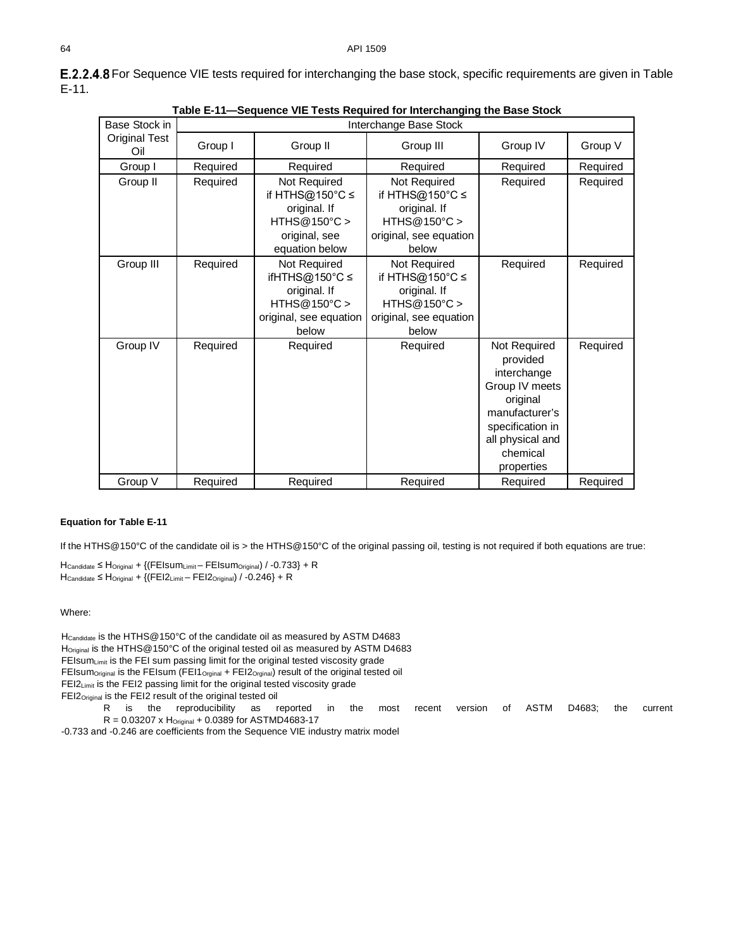<span id="page-9-1"></span>

| Table E-11—Sequence VIE Tests Required for Interchanging the Base Stock |          |                                                                                                       |                                                                                                    |                                                                                                                                                           |          |  |  |  |
|-------------------------------------------------------------------------|----------|-------------------------------------------------------------------------------------------------------|----------------------------------------------------------------------------------------------------|-----------------------------------------------------------------------------------------------------------------------------------------------------------|----------|--|--|--|
| Base Stock in                                                           |          |                                                                                                       | Interchange Base Stock                                                                             |                                                                                                                                                           |          |  |  |  |
| <b>Original Test</b><br>Oil                                             | Group I  | Group II                                                                                              | Group III                                                                                          | Group IV                                                                                                                                                  | Group V  |  |  |  |
| Group I                                                                 | Required | Required<br>Required                                                                                  |                                                                                                    | Required                                                                                                                                                  | Required |  |  |  |
| Group II                                                                | Required | Not Required<br>if HTHS@150 $°C$ ≤<br>original. If<br>HTHS@150°C ><br>original, see<br>equation below | Not Required<br>if HTHS@150°C ≤<br>original. If<br>HTHS@150°C ><br>original, see equation<br>below | Required                                                                                                                                                  | Required |  |  |  |
| Group III                                                               | Required | Not Required<br>ifHTHS@150°C ≤<br>original. If<br>HTHS@150°C<br>original, see equation<br>below       | Not Required<br>if HTHS@150°C ≤<br>original. If<br>HTHS@150°C<br>original, see equation<br>below   | Required                                                                                                                                                  | Required |  |  |  |
| Group IV                                                                | Required | Required                                                                                              | Required                                                                                           | Not Required<br>provided<br>interchange<br>Group IV meets<br>original<br>manufacturer's<br>specification in<br>all physical and<br>chemical<br>properties | Required |  |  |  |
| Group V                                                                 | Required | Required                                                                                              | Required                                                                                           | Required                                                                                                                                                  | Required |  |  |  |

<span id="page-9-0"></span>E.2.2.4.8 For Sequence VIE tests required for interchanging the base stock, specific requirements are given in Table [E-11.](#page-9-1)

#### **Equation fo[r Table E-11](#page-9-1)**

If the HTHS@150°C of the candidate oil is > the HTHS@150°C of the original passing oil, testing is not required if both equations are true:

HCandidate ≤ HOriginal + {(FEIsumLimit – FEIsumOriginal) / -0.733} + R  $H_{\text{Candidate}} \leq H_{\text{Original}} + \{ (FEl2_{\text{Limit}} - FEI2_{\text{Original}}) / -0.246 \} + R$ 

Where:

H<sub>Candidate</sub> is the HTHS@150°C of the candidate oil as measured by ASTM D4683 H<sub>Original</sub> is the HTHS@150°C of the original tested oil as measured by ASTM D4683 FEIsumLimit is the FEI sum passing limit for the original tested viscosity grade FEIsum<sub>Original</sub> is the FEIsum (FEI1<sub>Orginal</sub> + FEI2<sub>Orginal</sub>) result of the original tested oil FEI2<sub>Limit</sub> is the FEI2 passing limit for the original tested viscosity grade FEI2<sub>Original</sub> is the FEI2 result of the original tested oil R is the reproducibility as reported in the most recent version of ASTM D4683; the current  $R = 0.03207 \times H_{Original} + 0.0389$  for ASTMD4683-17

-0.733 and -0.246 are coefficients from the Sequence VIE industry matrix model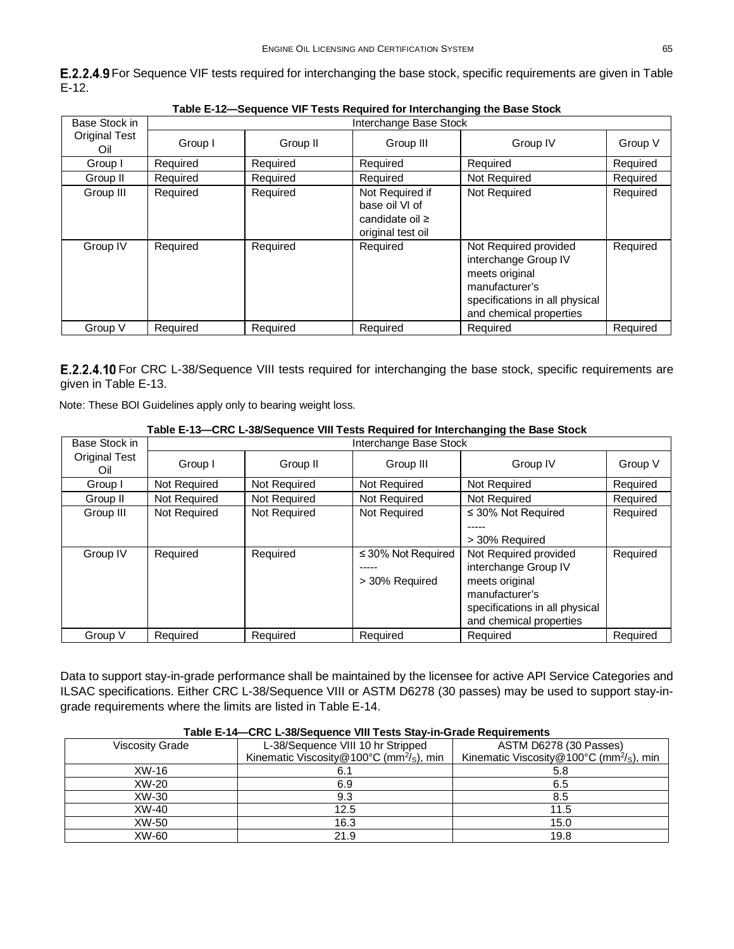<span id="page-10-0"></span>

| <b>E.2.2.4.9</b> For Sequence VIF tests required for interchanging the base stock, specific requirements are given in Table |  |
|-----------------------------------------------------------------------------------------------------------------------------|--|
| $E-12.$                                                                                                                     |  |

<span id="page-10-2"></span>

| Base Stock in        |          |          | Interchange Base Stock                                                    |                                                                                                                                                |          |  |  |  |  |
|----------------------|----------|----------|---------------------------------------------------------------------------|------------------------------------------------------------------------------------------------------------------------------------------------|----------|--|--|--|--|
| Original Test<br>Oil | Group I  | Group II | Group III                                                                 | Group IV                                                                                                                                       | Group V  |  |  |  |  |
| Group I              | Required | Required | Required                                                                  | Required                                                                                                                                       | Required |  |  |  |  |
| Group II             | Required | Required | Required                                                                  | Not Required                                                                                                                                   | Required |  |  |  |  |
| Group III            | Required | Required | Not Required if<br>base oil VI of<br>candidate oil ≥<br>original test oil | Not Required                                                                                                                                   | Required |  |  |  |  |
| Group IV             | Required | Required | Required                                                                  | Not Required provided<br>interchange Group IV<br>meets original<br>manufacturer's<br>specifications in all physical<br>and chemical properties | Required |  |  |  |  |
| Group V              | Required | Required | Required                                                                  | Required                                                                                                                                       | Required |  |  |  |  |

**Table E-12—Sequence VIF Tests Required for Interchanging the Base Stock**

<span id="page-10-1"></span>E.2.2.4.10 For CRC L-38/Sequence VIII tests required for interchanging the base stock, specific requirements are given in [Table E-13.](#page-10-3)

Note: These BOI Guidelines apply only to bearing weight loss.

#### **Table E-13—CRC L-38/Sequence VIII Tests Required for Interchanging the Base Stock**

<span id="page-10-3"></span>

| Base Stock in               | Interchange Base Stock |              |                                           |                                                                                                                                                |          |  |  |  |
|-----------------------------|------------------------|--------------|-------------------------------------------|------------------------------------------------------------------------------------------------------------------------------------------------|----------|--|--|--|
| <b>Original Test</b><br>Oil | Group I                | Group II     | Group III                                 | Group IV                                                                                                                                       | Group V  |  |  |  |
| Group I                     | Not Required           | Not Required | Not Required                              | Not Required                                                                                                                                   | Required |  |  |  |
| Group II                    | Not Required           | Not Required | Not Required                              | Not Required                                                                                                                                   | Required |  |  |  |
| Group III                   | Not Required           | Not Required | Not Required                              | $\leq$ 30% Not Required<br>> 30% Required                                                                                                      | Required |  |  |  |
| Group IV                    | Required               | Required     | $\leq$ 30% Not Required<br>> 30% Required | Not Required provided<br>interchange Group IV<br>meets original<br>manufacturer's<br>specifications in all physical<br>and chemical properties | Required |  |  |  |
| Group V                     | Required               | Required     | Required                                  | Required                                                                                                                                       | Required |  |  |  |

Data to support stay-in-grade performance shall be maintained by the licensee for active API Service Categories and ILSAC specifications. Either CRC L-38/Sequence VIII or ASTM D6278 (30 passes) may be used to support stay-ingrade requirements where the limits are listed in [Table E-14.](#page-10-4)

<span id="page-10-4"></span>

| <u>I AME L-T+ ONO L-JOI JEGUEIRE VIII TESIS OIAV-III-OI AUE NEGUII EIIIEIIIS</u> |                                                               |                                                                 |  |  |  |  |  |  |
|----------------------------------------------------------------------------------|---------------------------------------------------------------|-----------------------------------------------------------------|--|--|--|--|--|--|
| Viscosity Grade                                                                  | L-38/Sequence VIII 10 hr Stripped                             | ASTM D6278 (30 Passes)                                          |  |  |  |  |  |  |
|                                                                                  | Kinematic Viscosity@100 $\degree$ C (mm <sup>2</sup> /s), min | Kinematic Viscosity @ $100^{\circ}$ C (mm <sup>2</sup> /s), min |  |  |  |  |  |  |
| XW-16                                                                            | 6.1                                                           |                                                                 |  |  |  |  |  |  |
| XW-20                                                                            | 6.9                                                           | 6.5                                                             |  |  |  |  |  |  |
| XW-30                                                                            | 9.3                                                           | 8.5                                                             |  |  |  |  |  |  |
| XW-40                                                                            | 12.5                                                          | 11.5                                                            |  |  |  |  |  |  |
| XW-50                                                                            | 16.3                                                          | 15.0                                                            |  |  |  |  |  |  |
| XW-60                                                                            | 21.9                                                          | 19.8                                                            |  |  |  |  |  |  |

#### **Table E-14—CRC L-38/Sequence VIII Tests Stay-in-Grade Requirements**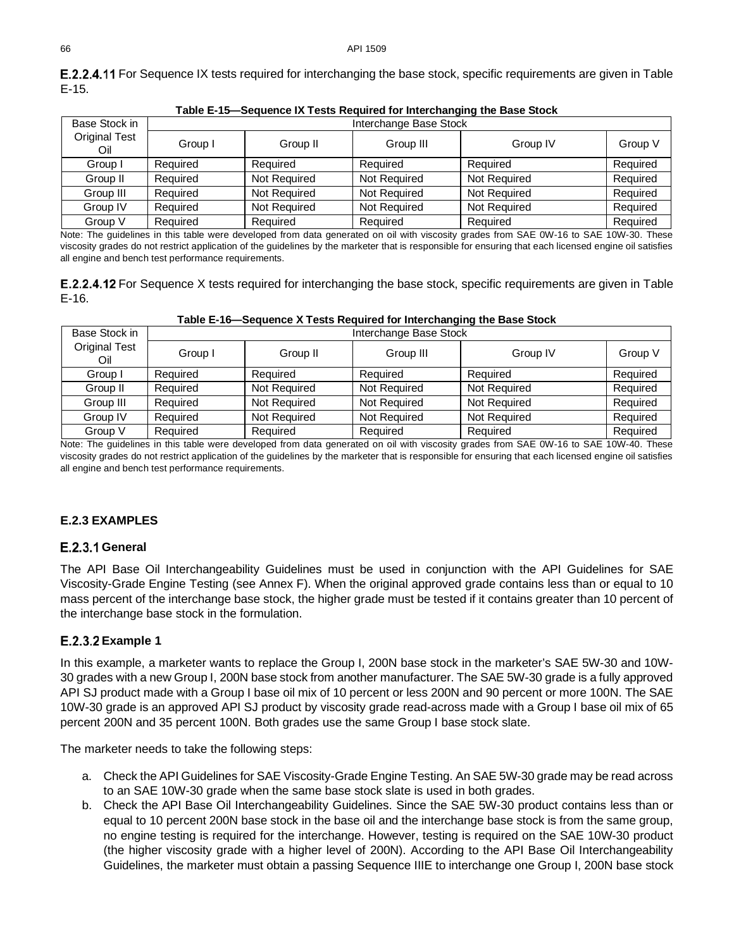<span id="page-11-2"></span>

| Table E-15—Sequence IX Tests Required for Interchanging the Base Stock |                                  |                        |                     |              |          |  |  |  |
|------------------------------------------------------------------------|----------------------------------|------------------------|---------------------|--------------|----------|--|--|--|
| Base Stock in                                                          |                                  | Interchange Base Stock |                     |              |          |  |  |  |
| <b>Original Test</b><br>Oil                                            | Group I<br>Group III<br>Group II |                        | Group IV            | Group V      |          |  |  |  |
| Group I                                                                | Required                         | Required               | Required            | Required     | Required |  |  |  |
| Group II                                                               | Required                         | Not Required           | Not Required        | Not Required | Required |  |  |  |
| Group III                                                              | Required                         | Not Required           | <b>Not Required</b> | Not Required | Required |  |  |  |
| Group IV                                                               | Required                         | Not Required           | Not Required        | Not Required | Required |  |  |  |
| Group V                                                                | Required                         | Required               | Required            | Required     | Required |  |  |  |

<span id="page-11-0"></span>**E.2.2.4.11** For Sequence IX tests required for interchanging the base stock, specific requirements are given in Table [E-15.](#page-11-2)

Note: The guidelines in this table were developed from data generated on oil with viscosity grades from SAE 0W-16 to SAE 10W-30. These viscosity grades do not restrict application of the guidelines by the marketer that is responsible for ensuring that each licensed engine oil satisfies all engine and bench test performance requirements.

<span id="page-11-1"></span>

| <b>E.2.2.4.12</b> For Sequence X tests required for interchanging the base stock, specific requirements are given in Table |  |  |
|----------------------------------------------------------------------------------------------------------------------------|--|--|
| $E-16.$                                                                                                                    |  |  |

| Base Stock in        | Interchange Base Stock |              |              |              |          |  |  |
|----------------------|------------------------|--------------|--------------|--------------|----------|--|--|
| Original Test<br>Oil | Group I                | Group II     | Group III    | Group IV     | Group V  |  |  |
| Group I              | Required               | Required     | Required     | Required     | Required |  |  |
| Group II             | Required               | Not Required | Not Required | Not Required | Required |  |  |
| Group III            | Required               | Not Required | Not Required | Not Required | Required |  |  |
| Group IV             | Required               | Not Required | Not Required | Not Required | Required |  |  |
| Group V              | Required               | Required     | Required     | Required     | Required |  |  |

#### **Table E-16—Sequence X Tests Required for Interchanging the Base Stock**

Note: The guidelines in this table were developed from data generated on oil with viscosity grades from SAE 0W-16 to SAE 10W-40. These viscosity grades do not restrict application of the guidelines by the marketer that is responsible for ensuring that each licensed engine oil satisfies all engine and bench test performance requirements.

### **E.2.3 EXAMPLES**

### E.2.3.1 General

The API Base Oil Interchangeability Guidelines must be used in conjunction with the API Guidelines for SAE Viscosity-Grade Engine Testing (see Annex F). When the original approved grade contains less than or equal to 10 mass percent of the interchange base stock, the higher grade must be tested if it contains greater than 10 percent of the interchange base stock in the formulation.

### **E.2.3.2 Example 1**

In this example, a marketer wants to replace the Group I, 200N base stock in the marketer's SAE 5W-30 and 10W-30 grades with a new Group I, 200N base stock from another manufacturer. The SAE 5W-30 grade is a fully approved API SJ product made with a Group I base oil mix of 10 percent or less 200N and 90 percent or more 100N. The SAE 10W-30 grade is an approved API SJ product by viscosity grade read-across made with a Group I base oil mix of 65 percent 200N and 35 percent 100N. Both grades use the same Group I base stock slate.

The marketer needs to take the following steps:

- a. Check the API Guidelines for SAE Viscosity-Grade Engine Testing. An SAE 5W-30 grade may be read across to an SAE 10W-30 grade when the same base stock slate is used in both grades.
- b. Check the API Base Oil Interchangeability Guidelines. Since the SAE 5W-30 product contains less than or equal to 10 percent 200N base stock in the base oil and the interchange base stock is from the same group, no engine testing is required for the interchange. However, testing is required on the SAE 10W-30 product (the higher viscosity grade with a higher level of 200N). According to the API Base Oil Interchangeability Guidelines, the marketer must obtain a passing Sequence IIIE to interchange one Group I, 200N base stock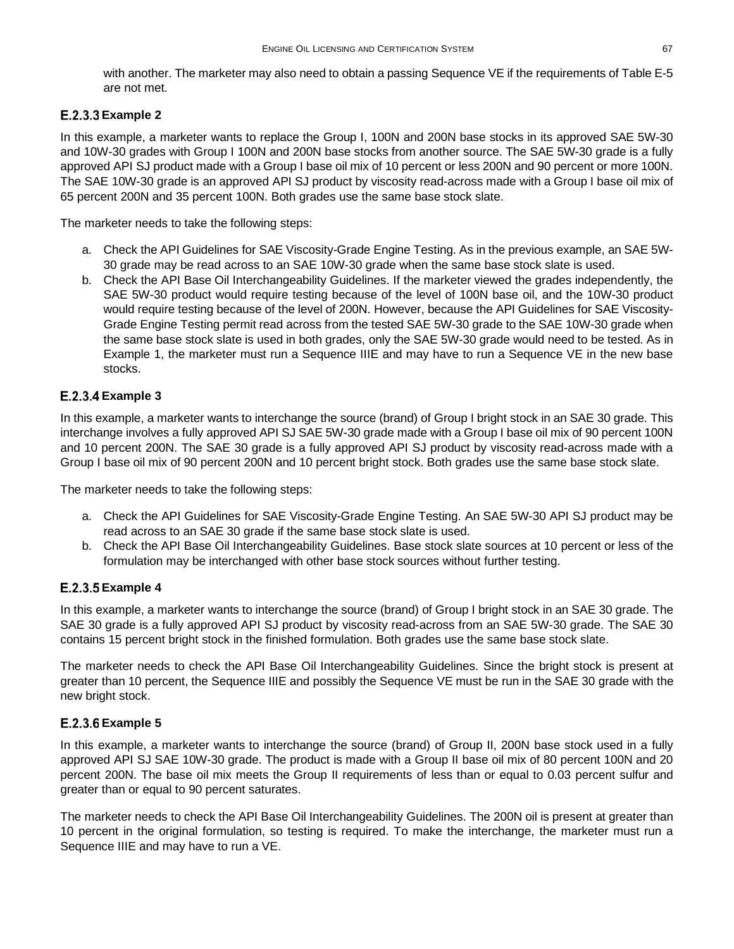with another. The marketer may also need to obtain a passing Sequence VE if the requirements o[f Table E-5](#page-5-2) are not met.

### **E.2.3.3 Example 2**

In this example, a marketer wants to replace the Group I, 100N and 200N base stocks in its approved SAE 5W-30 and 10W-30 grades with Group I 100N and 200N base stocks from another source. The SAE 5W-30 grade is a fully approved API SJ product made with a Group I base oil mix of 10 percent or less 200N and 90 percent or more 100N. The SAE 10W-30 grade is an approved API SJ product by viscosity read-across made with a Group I base oil mix of 65 percent 200N and 35 percent 100N. Both grades use the same base stock slate.

The marketer needs to take the following steps:

- a. Check the API Guidelines for SAE Viscosity-Grade Engine Testing. As in the previous example, an SAE 5W-30 grade may be read across to an SAE 10W-30 grade when the same base stock slate is used.
- b. Check the API Base Oil Interchangeability Guidelines. If the marketer viewed the grades independently, the SAE 5W-30 product would require testing because of the level of 100N base oil, and the 10W-30 product would require testing because of the level of 200N. However, because the API Guidelines for SAE Viscosity-Grade Engine Testing permit read across from the tested SAE 5W-30 grade to the SAE 10W-30 grade when the same base stock slate is used in both grades, only the SAE 5W-30 grade would need to be tested. As in Example 1, the marketer must run a Sequence IIIE and may have to run a Sequence VE in the new base stocks.

### **E.2.3.4 Example 3**

In this example, a marketer wants to interchange the source (brand) of Group I bright stock in an SAE 30 grade. This interchange involves a fully approved API SJ SAE 5W-30 grade made with a Group I base oil mix of 90 percent 100N and 10 percent 200N. The SAE 30 grade is a fully approved API SJ product by viscosity read-across made with a Group I base oil mix of 90 percent 200N and 10 percent bright stock. Both grades use the same base stock slate.

The marketer needs to take the following steps:

- a. Check the API Guidelines for SAE Viscosity-Grade Engine Testing. An SAE 5W-30 API SJ product may be read across to an SAE 30 grade if the same base stock slate is used.
- b. Check the API Base Oil Interchangeability Guidelines. Base stock slate sources at 10 percent or less of the formulation may be interchanged with other base stock sources without further testing.

### **E.2.3.5 Example 4**

In this example, a marketer wants to interchange the source (brand) of Group I bright stock in an SAE 30 grade. The SAE 30 grade is a fully approved API SJ product by viscosity read-across from an SAE 5W-30 grade. The SAE 30 contains 15 percent bright stock in the finished formulation. Both grades use the same base stock slate.

The marketer needs to check the API Base Oil Interchangeability Guidelines. Since the bright stock is present at greater than 10 percent, the Sequence IIIE and possibly the Sequence VE must be run in the SAE 30 grade with the new bright stock.

### **E.2.3.6 Example 5**

In this example, a marketer wants to interchange the source (brand) of Group II, 200N base stock used in a fully approved API SJ SAE 10W-30 grade. The product is made with a Group II base oil mix of 80 percent 100N and 20 percent 200N. The base oil mix meets the Group II requirements of less than or equal to 0.03 percent sulfur and greater than or equal to 90 percent saturates.

The marketer needs to check the API Base Oil Interchangeability Guidelines. The 200N oil is present at greater than 10 percent in the original formulation, so testing is required. To make the interchange, the marketer must run a Sequence IIIE and may have to run a VE.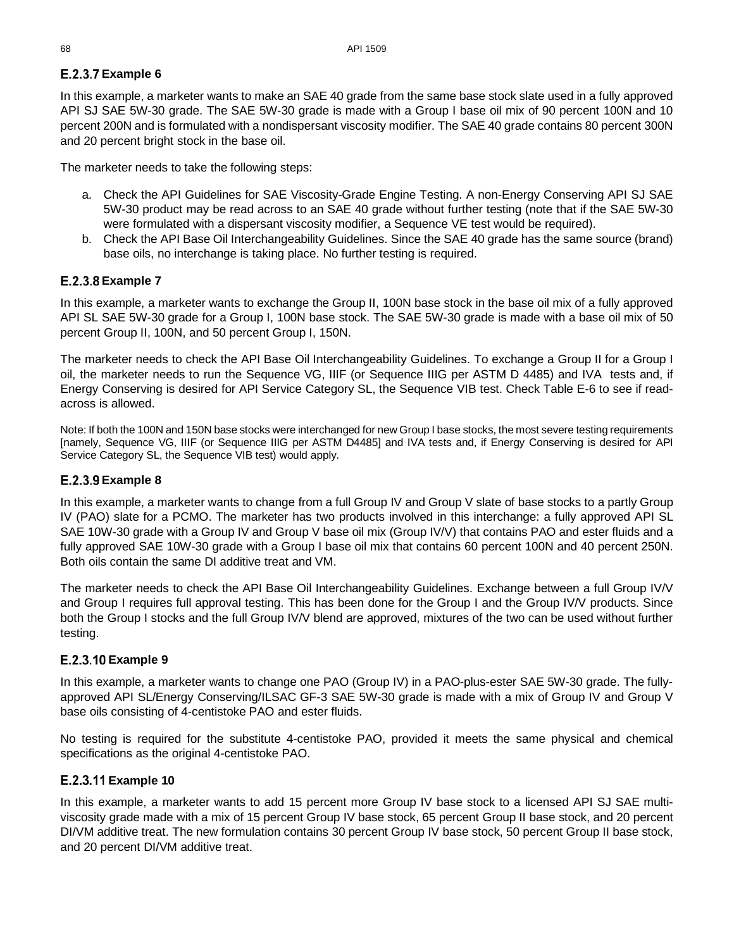### **E.2.3.7 Example 6**

In this example, a marketer wants to make an SAE 40 grade from the same base stock slate used in a fully approved API SJ SAE 5W-30 grade. The SAE 5W-30 grade is made with a Group I base oil mix of 90 percent 100N and 10 percent 200N and is formulated with a nondispersant viscosity modifier. The SAE 40 grade contains 80 percent 300N and 20 percent bright stock in the base oil.

The marketer needs to take the following steps:

- a. Check the API Guidelines for SAE Viscosity-Grade Engine Testing. A non-Energy Conserving API SJ SAE 5W-30 product may be read across to an SAE 40 grade without further testing (note that if the SAE 5W-30 were formulated with a dispersant viscosity modifier, a Sequence VE test would be required).
- b. Check the API Base Oil Interchangeability Guidelines. Since the SAE 40 grade has the same source (brand) base oils, no interchange is taking place. No further testing is required.

### **E.2.3.8 Example 7**

In this example, a marketer wants to exchange the Group II, 100N base stock in the base oil mix of a fully approved API SL SAE 5W-30 grade for a Group I, 100N base stock. The SAE 5W-30 grade is made with a base oil mix of 50 percent Group II, 100N, and 50 percent Group I, 150N.

The marketer needs to check the API Base Oil Interchangeability Guidelines. To exchange a Group II for a Group I oil, the marketer needs to run the Sequence VG, IIIF (or Sequence IIIG per ASTM D 4485) and IVA tests and, if Energy Conserving is desired for API Service Category SL, the Sequence VIB test. Check [Table E-6](#page-5-3) to see if readacross is allowed.

Note: If both the 100N and 150N base stocks were interchanged for new Group I base stocks, the most severe testing requirements [namely, Sequence VG, IIIF (or Sequence IIIG per ASTM D4485] and IVA tests and, if Energy Conserving is desired for API Service Category SL, the Sequence VIB test) would apply.

### **E.2.3.9 Example 8**

In this example, a marketer wants to change from a full Group IV and Group V slate of base stocks to a partly Group IV (PAO) slate for a PCMO. The marketer has two products involved in this interchange: a fully approved API SL SAE 10W-30 grade with a Group IV and Group V base oil mix (Group IV/V) that contains PAO and ester fluids and a fully approved SAE 10W-30 grade with a Group I base oil mix that contains 60 percent 100N and 40 percent 250N. Both oils contain the same DI additive treat and VM.

The marketer needs to check the API Base Oil Interchangeability Guidelines. Exchange between a full Group IV/V and Group I requires full approval testing. This has been done for the Group I and the Group IV/V products. Since both the Group I stocks and the full Group IV/V blend are approved, mixtures of the two can be used without further testing.

### **E.2.3.10 Example 9**

In this example, a marketer wants to change one PAO (Group IV) in a PAO-plus-ester SAE 5W-30 grade. The fullyapproved API SL/Energy Conserving/ILSAC GF-3 SAE 5W-30 grade is made with a mix of Group IV and Group V base oils consisting of 4-centistoke PAO and ester fluids.

No testing is required for the substitute 4-centistoke PAO, provided it meets the same physical and chemical specifications as the original 4-centistoke PAO.

### **E.2.3.11 Example 10**

In this example, a marketer wants to add 15 percent more Group IV base stock to a licensed API SJ SAE multiviscosity grade made with a mix of 15 percent Group IV base stock, 65 percent Group II base stock, and 20 percent DI/VM additive treat. The new formulation contains 30 percent Group IV base stock, 50 percent Group II base stock, and 20 percent DI/VM additive treat.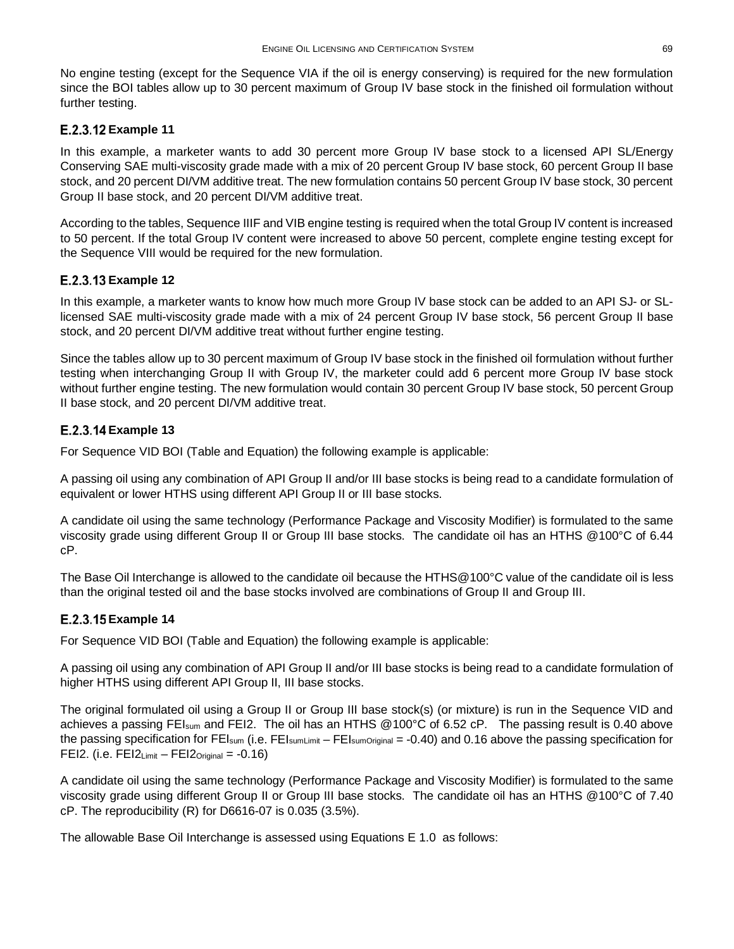No engine testing (except for the Sequence VIA if the oil is energy conserving) is required for the new formulation since the BOI tables allow up to 30 percent maximum of Group IV base stock in the finished oil formulation without further testing.

### **E.2.3.12 Example 11**

In this example, a marketer wants to add 30 percent more Group IV base stock to a licensed API SL/Energy Conserving SAE multi-viscosity grade made with a mix of 20 percent Group IV base stock, 60 percent Group II base stock, and 20 percent DI/VM additive treat. The new formulation contains 50 percent Group IV base stock, 30 percent Group II base stock, and 20 percent DI/VM additive treat.

According to the tables, Sequence IIIF and VIB engine testing is required when the total Group IV content is increased to 50 percent. If the total Group IV content were increased to above 50 percent, complete engine testing except for the Sequence VIII would be required for the new formulation.

### **E.2.3.13 Example 12**

In this example, a marketer wants to know how much more Group IV base stock can be added to an API SJ- or SLlicensed SAE multi-viscosity grade made with a mix of 24 percent Group IV base stock, 56 percent Group II base stock, and 20 percent DI/VM additive treat without further engine testing.

Since the tables allow up to 30 percent maximum of Group IV base stock in the finished oil formulation without further testing when interchanging Group II with Group IV, the marketer could add 6 percent more Group IV base stock without further engine testing. The new formulation would contain 30 percent Group IV base stock, 50 percent Group II base stock, and 20 percent DI/VM additive treat.

### **E.2.3.14 Example 13**

For Sequence VID BOI (Table and Equation) the following example is applicable:

A passing oil using any combination of API Group II and/or III base stocks is being read to a candidate formulation of equivalent or lower HTHS using different API Group II or III base stocks.

A candidate oil using the same technology (Performance Package and Viscosity Modifier) is formulated to the same viscosity grade using different Group II or Group III base stocks. The candidate oil has an HTHS @100°C of 6.44 cP.

The Base Oil Interchange is allowed to the candidate oil because the HTHS@100°C value of the candidate oil is less than the original tested oil and the base stocks involved are combinations of Group II and Group III.

## **E.2.3.15 Example 14**

For Sequence VID BOI (Table and Equation) the following example is applicable:

A passing oil using any combination of API Group II and/or III base stocks is being read to a candidate formulation of higher HTHS using different API Group II, III base stocks.

The original formulated oil using a Group II or Group III base stock(s) (or mixture) is run in the Sequence VID and achieves a passing FEIsum and FEI2. The oil has an HTHS @100°C of 6.52 cP. The passing result is 0.40 above the passing specification for FEI<sub>sum</sub> (i.e. FEI<sub>sumLimit</sub> – FEI<sub>sumOriginal</sub> = -0.40) and 0.16 above the passing specification for FEI2. (i.e.  $FEI2_{Limit} - FEI2_{Original} = -0.16$ )

A candidate oil using the same technology (Performance Package and Viscosity Modifier) is formulated to the same viscosity grade using different Group II or Group III base stocks. The candidate oil has an HTHS @100°C of 7.40 cP. The reproducibility (R) for D6616-07 is 0.035 (3.5%).

The allowable Base Oil Interchange is assessed using Equations E 1.0 as follows: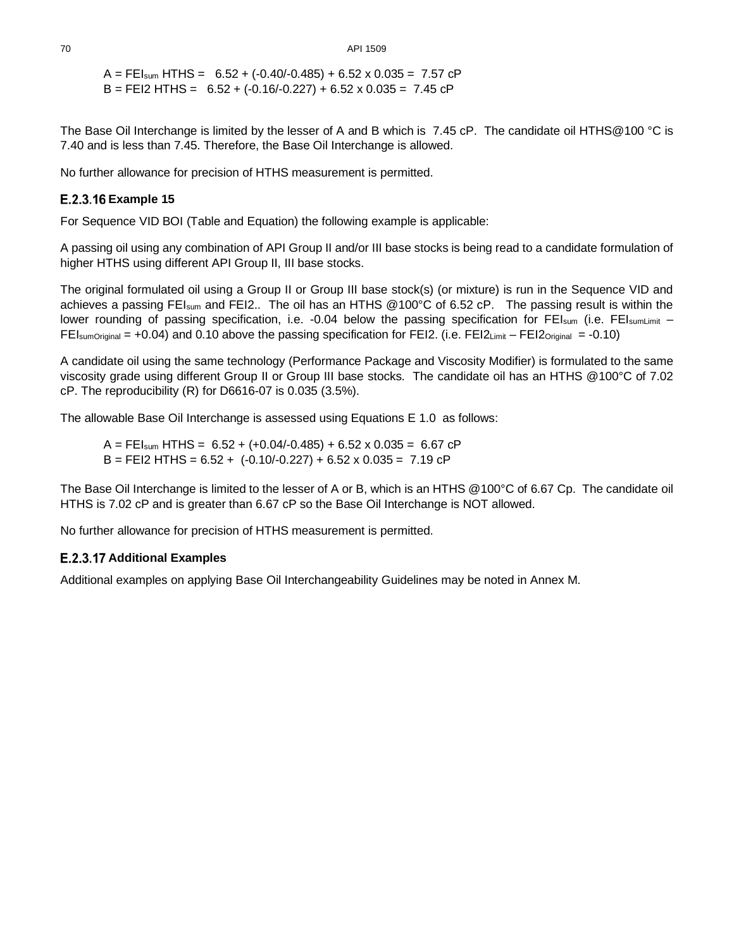$A = FEI<sub>sum</sub> HTHS = 6.52 + (-0.40/-0.485) + 6.52 \times 0.035 = 7.57$  cP  $B = FE12 HTHS = 6.52 + (-0.16/-0.227) + 6.52 \times 0.035 = 7.45 \text{ cP}$ 

The Base Oil Interchange is limited by the lesser of A and B which is 7.45 cP. The candidate oil HTHS@100 °C is 7.40 and is less than 7.45. Therefore, the Base Oil Interchange is allowed.

No further allowance for precision of HTHS measurement is permitted.

### **E.2.3.16 Example 15**

For Sequence VID BOI (Table and Equation) the following example is applicable:

A passing oil using any combination of API Group II and/or III base stocks is being read to a candidate formulation of higher HTHS using different API Group II, III base stocks.

The original formulated oil using a Group II or Group III base stock(s) (or mixture) is run in the Sequence VID and achieves a passing FEIsum and FEI2.. The oil has an HTHS @100°C of 6.52 cP. The passing result is within the lower rounding of passing specification, i.e. -0.04 below the passing specification for FEI<sub>sum</sub> (i.e. FEI<sub>sumLimit</sub> – FEIsumOriginal = +0.04) and 0.10 above the passing specification for FEI2. (i.e. FEI2<sub>Limit</sub> – FEI2<sub>Original</sub> = -0.10)

A candidate oil using the same technology (Performance Package and Viscosity Modifier) is formulated to the same viscosity grade using different Group II or Group III base stocks. The candidate oil has an HTHS @100°C of 7.02 cP. The reproducibility (R) for D6616-07 is 0.035 (3.5%).

The allowable Base Oil Interchange is assessed using Equations E 1.0 as follows:

 $A = FEI<sub>sum</sub> HTHS = 6.52 + (+0.04/-0.485) + 6.52 \times 0.035 = 6.67$  cP  $B = FE12$  HTHS =  $6.52 + (-0.10/-0.227) + 6.52 \times 0.035 = 7.19$  cP

The Base Oil Interchange is limited to the lesser of A or B, which is an HTHS @100°C of 6.67 Cp. The candidate oil HTHS is 7.02 cP and is greater than 6.67 cP so the Base Oil Interchange is NOT allowed.

No further allowance for precision of HTHS measurement is permitted.

### **E.2.3.17 Additional Examples**

Additional examples on applying Base Oil Interchangeability Guidelines may be noted in Annex M.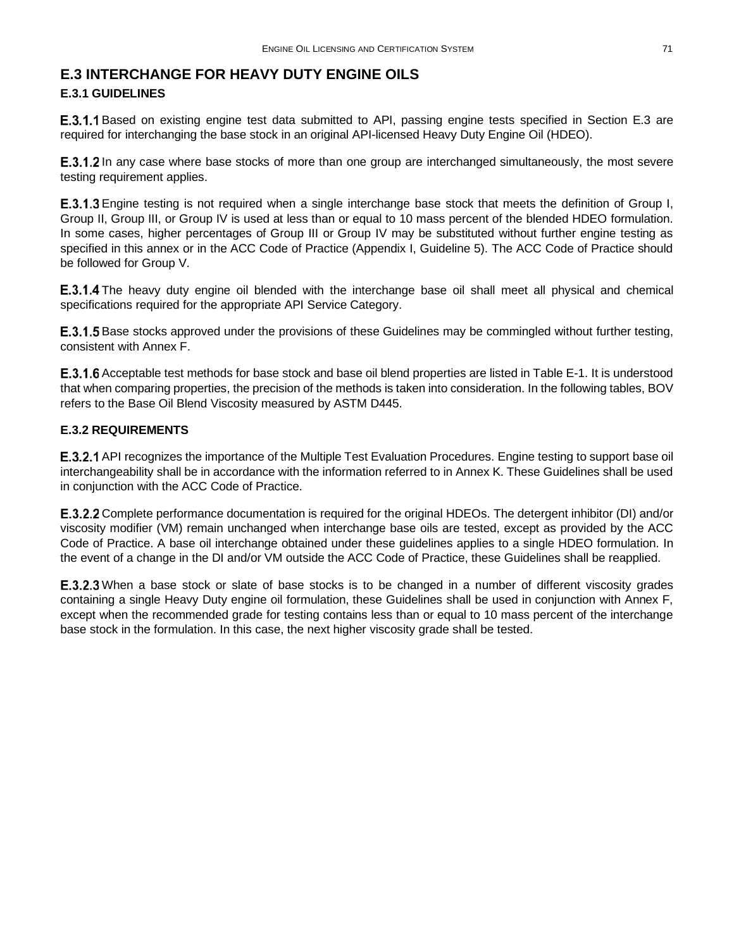### <span id="page-16-0"></span>**E.3 INTERCHANGE FOR HEAVY DUTY ENGINE OILS E.3.1 GUIDELINES**

**E.3.1.1** Based on existing engine test data submitted to API, passing engine tests specified in Section [E.3](#page-16-0) are required for interchanging the base stock in an original API-licensed Heavy Duty Engine Oil (HDEO).

**E.3.1.2** In any case where base stocks of more than one group are interchanged simultaneously, the most severe testing requirement applies.

**E.3.1.3** Engine testing is not required when a single interchange base stock that meets the definition of Group I, Group II, Group III, or Group IV is used at less than or equal to 10 mass percent of the blended HDEO formulation. In some cases, higher percentages of Group III or Group IV may be substituted without further engine testing as specified in this annex or in the ACC Code of Practice (Appendix I, Guideline 5). The ACC Code of Practice should be followed for Group V.

**E.3.1.4** The heavy duty engine oil blended with the interchange base oil shall meet all physical and chemical specifications required for the appropriate API Service Category.

**E.3.1.5** Base stocks approved under the provisions of these Guidelines may be commingled without further testing, consistent with Annex F.

**E.3.1.6** Acceptable test methods for base stock and base oil blend properties are listed in [Table E-1.](#page-1-0) It is understood that when comparing properties, the precision of the methods is taken into consideration. In the following tables, BOV refers to the Base Oil Blend Viscosity measured by ASTM D445.

### **E.3.2 REQUIREMENTS**

**E.3.2.1** API recognizes the importance of the Multiple Test Evaluation Procedures. Engine testing to support base oil interchangeability shall be in accordance with the information referred to in Annex K. These Guidelines shall be used in conjunction with the ACC Code of Practice.

E.3.2.2 Complete performance documentation is required for the original HDEOs. The detergent inhibitor (DI) and/or viscosity modifier (VM) remain unchanged when interchange base oils are tested, except as provided by the ACC Code of Practice. A base oil interchange obtained under these guidelines applies to a single HDEO formulation. In the event of a change in the DI and/or VM outside the ACC Code of Practice, these Guidelines shall be reapplied.

**E.3.2.3** When a base stock or slate of base stocks is to be changed in a number of different viscosity grades containing a single Heavy Duty engine oil formulation, these Guidelines shall be used in conjunction with Annex F, except when the recommended grade for testing contains less than or equal to 10 mass percent of the interchange base stock in the formulation. In this case, the next higher viscosity grade shall be tested.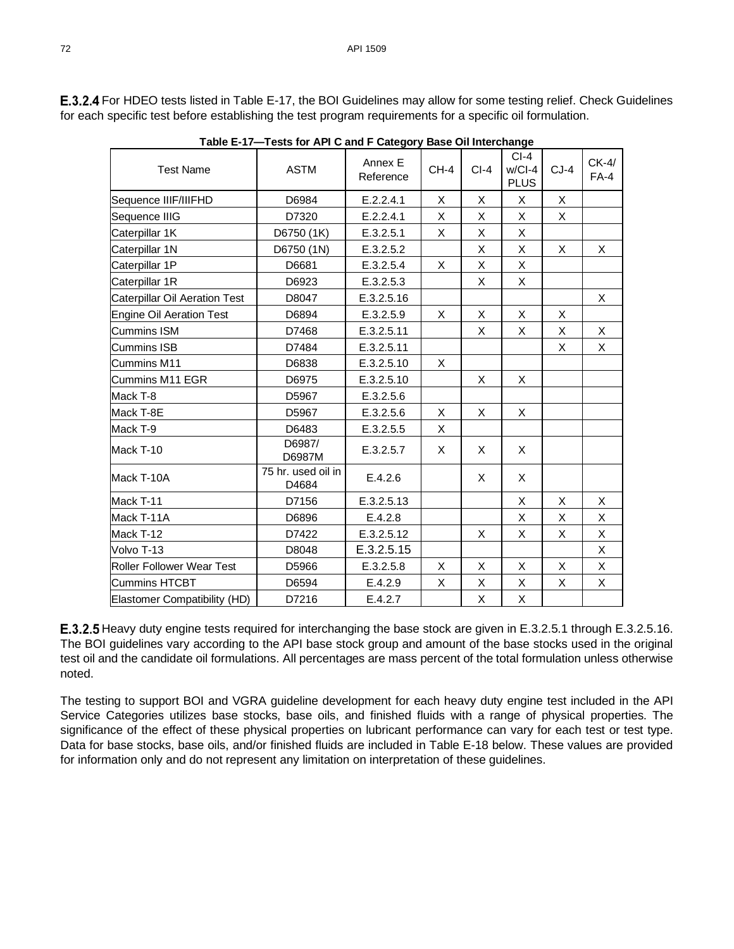<span id="page-17-0"></span>**E.3.2.4** For HDEO tests listed i[n Table E-17,](#page-17-0) the BOI Guidelines may allow for some testing relief. Check Guidelines for each specific test before establishing the test program requirements for a specific oil formulation.

| <b>Test Name</b>                     | <b>ASTM</b>                 | Annex E<br>Reference | $CH-4$ | $Cl-4$ | $Cl-4$<br>$w/Cl-4$<br><b>PLUS</b> | $CJ-4$ | $CK-4/$<br>$FA-4$ |
|--------------------------------------|-----------------------------|----------------------|--------|--------|-----------------------------------|--------|-------------------|
| Sequence IIIF/IIIFHD                 | D6984                       | E.2.2.4.1            | X      | X      | X                                 | X      |                   |
| Sequence IIIG                        | D7320                       | E.2.2.4.1            | X      | X      | X                                 | X      |                   |
| Caterpillar 1K                       | D6750 (1K)                  | E.3.2.5.1            | X      | X      | X                                 |        |                   |
| Caterpillar 1N                       | D6750 (1N)                  | E.3.2.5.2            |        | X      | X                                 | X      | X                 |
| Caterpillar 1P                       | D6681                       | E.3.2.5.4            | X      | X      | X                                 |        |                   |
| Caterpillar 1R                       | D6923                       | E.3.2.5.3            |        | X      | X                                 |        |                   |
| <b>Caterpillar Oil Aeration Test</b> | D8047                       | E.3.2.5.16           |        |        |                                   |        | X                 |
| Engine Oil Aeration Test             | D6894                       | E.3.2.5.9            | X      | X      | X                                 | X      |                   |
| <b>Cummins ISM</b>                   | D7468                       | E.3.2.5.11           |        | X      | X                                 | X      | X                 |
| <b>Cummins ISB</b>                   | D7484                       | E.3.2.5.11           |        |        |                                   | X      | X                 |
| Cummins M11                          | D6838                       | E.3.2.5.10           | X      |        |                                   |        |                   |
| Cummins M11 EGR                      | D6975                       | E.3.2.5.10           |        | X      | X                                 |        |                   |
| Mack T-8                             | D5967                       | E.3.2.5.6            |        |        |                                   |        |                   |
| Mack T-8E                            | D5967                       | E.3.2.5.6            | X      | X      | X                                 |        |                   |
| Mack T-9                             | D6483                       | E.3.2.5.5            | X      |        |                                   |        |                   |
| Mack T-10                            | D6987/<br>D6987M            | E.3.2.5.7            | X      | X      | X                                 |        |                   |
| Mack T-10A                           | 75 hr. used oil in<br>D4684 | E.4.2.6              |        | X      | X                                 |        |                   |
| Mack T-11                            | D7156                       | E.3.2.5.13           |        |        | X                                 | X      | X                 |
| Mack T-11A                           | D6896                       | E.4.2.8              |        |        | X                                 | X      | X                 |
| Mack T-12                            | D7422                       | E.3.2.5.12           |        | X      | X                                 | X      | X                 |
| Volvo T-13                           | D8048                       | E.3.2.5.15           |        |        |                                   |        | X                 |
| <b>Roller Follower Wear Test</b>     | D5966                       | E.3.2.5.8            | X      | X      | X                                 | X      | X                 |
| <b>Cummins HTCBT</b>                 | D6594                       | E.4.2.9              | X      | X      | X                                 | X      | X                 |
| Elastomer Compatibility (HD)         | D7216                       | E.4.2.7              |        | X      | X                                 |        |                   |

**Table E-17—Tests for API C and F Category Base Oil Interchange**

**E.3.2.5** Heavy duty engine tests required for interchanging the base stock are given i[n E.3.2.5.1](#page-18-0) through [E.3.2.5.16.](#page-29-0) The BOI guidelines vary according to the API base stock group and amount of the base stocks used in the original test oil and the candidate oil formulations. All percentages are mass percent of the total formulation unless otherwise noted.

The testing to support BOI and VGRA guideline development for each heavy duty engine test included in the API Service Categories utilizes base stocks, base oils, and finished fluids with a range of physical properties. The significance of the effect of these physical properties on lubricant performance can vary for each test or test type. Data for base stocks, base oils, and/or finished fluids are included in [Table E-18](#page-18-2) below. These values are provided for information only and do not represent any limitation on interpretation of these guidelines.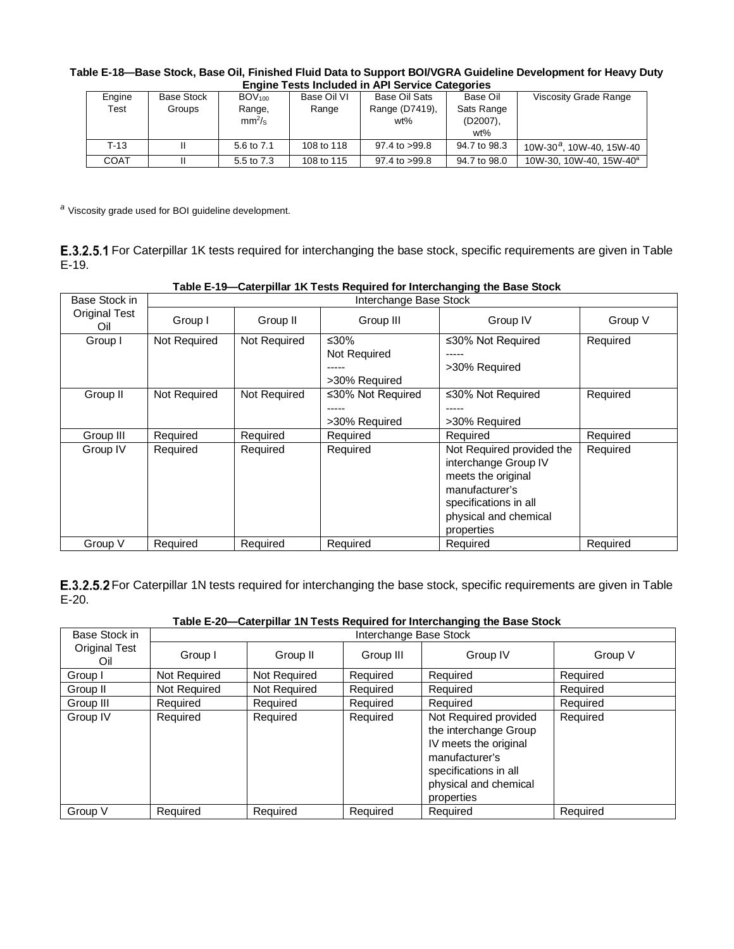<span id="page-18-2"></span>

| Table E-18—Base Stock, Base Oil, Finished Fluid Data to Support BOI/VGRA Guideline Development for Heavy Duty |  |
|---------------------------------------------------------------------------------------------------------------|--|
| <b>Engine Tests Included in API Service Categories</b>                                                        |  |

| Engine | <b>Base Stock</b> | $BOV_{100}$        | Base Oil VI | Base Oil Sats     | Base Oil     | <b>Viscosity Grade Range</b>         |  |  |
|--------|-------------------|--------------------|-------------|-------------------|--------------|--------------------------------------|--|--|
| Test   | Groups            | Range,             | Range       | Range (D7419),    | Sats Range   |                                      |  |  |
|        |                   | mm <sup>2</sup> /s |             | wt%               | $(D2007)$ ,  |                                      |  |  |
|        |                   |                    |             |                   | $wt\%$       |                                      |  |  |
| $T-13$ |                   | 5.6 to 7.1         | 108 to 118  | $97.4$ to $>99.8$ | 94.7 to 98.3 | 10W-30 <sup>a</sup> , 10W-40, 15W-40 |  |  |
| COAT   |                   | 5.5 to 7.3         | 108 to 115  | 97.4 to >99.8     | 94.7 to 98.0 | 10W-30, 10W-40, 15W-40 <sup>a</sup>  |  |  |

*<sup>a</sup>* Viscosity grade used for BOI guideline development.

<span id="page-18-0"></span>E.3.2.5.1 For Caterpillar 1K tests required for interchanging the base stock, specific requirements are given in Table [E-19.](#page-18-3)

<span id="page-18-3"></span>

| Base Stock in               | Interchange Base Stock |              |                                       |                                                                                                                                                           |          |  |  |
|-----------------------------|------------------------|--------------|---------------------------------------|-----------------------------------------------------------------------------------------------------------------------------------------------------------|----------|--|--|
| <b>Original Test</b><br>Oil | Group I                | Group II     | Group III                             | Group IV                                                                                                                                                  | Group V  |  |  |
| Group I                     | Not Required           | Not Required | ≤30%<br>Not Required<br>>30% Required | ≤30% Not Required<br>>30% Required                                                                                                                        | Required |  |  |
| Group II                    | Not Required           | Not Required | ≤30% Not Required<br>>30% Required    | ≤30% Not Required<br>>30% Required                                                                                                                        | Required |  |  |
| Group III                   | Required               | Required     | Required                              | Required                                                                                                                                                  | Required |  |  |
| Group IV                    | Required               | Required     | Required                              | Not Required provided the<br>interchange Group IV<br>meets the original<br>manufacturer's<br>specifications in all<br>physical and chemical<br>properties | Required |  |  |
| Group V                     | Required               | Required     | Required                              | Required                                                                                                                                                  | Required |  |  |

#### **Table E-19—Caterpillar 1K Tests Required for Interchanging the Base Stock**

<span id="page-18-1"></span>E.3.2.5.2 For Caterpillar 1N tests required for interchanging the base stock, specific requirements are given in Table [E-20.](#page-18-4)

<span id="page-18-4"></span>

| Base Stock in               | Interchange Base Stock |              |           |                                                                                                                                                           |          |  |  |
|-----------------------------|------------------------|--------------|-----------|-----------------------------------------------------------------------------------------------------------------------------------------------------------|----------|--|--|
| <b>Original Test</b><br>Oil | Group I                | Group II     | Group III | Group IV                                                                                                                                                  | Group V  |  |  |
| Group I                     | Not Required           | Not Required | Required  | Required                                                                                                                                                  | Required |  |  |
| Group II                    | Not Required           | Not Required | Required  | Required                                                                                                                                                  | Required |  |  |
| Group III                   | Required               | Required     | Required  | Required                                                                                                                                                  | Required |  |  |
| Group IV                    | Required               | Required     | Required  | Not Required provided<br>the interchange Group<br>IV meets the original<br>manufacturer's<br>specifications in all<br>physical and chemical<br>properties | Required |  |  |
| Group V                     | Required               | Required     | Required  | Required                                                                                                                                                  | Required |  |  |

**Table E-20—Caterpillar 1N Tests Required for Interchanging the Base Stock**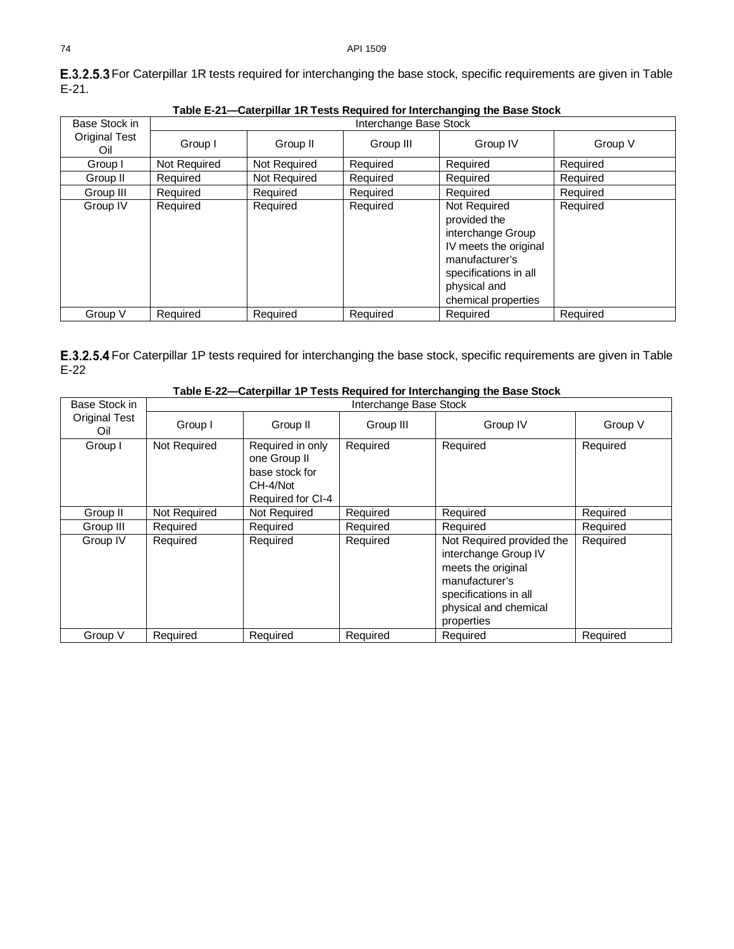<span id="page-19-2"></span>

|                             | Table E-21-Caterpillar 1R Tests Required for Interchanging the Base Stock |                        |           |                                                                                                                                                              |          |  |  |  |  |
|-----------------------------|---------------------------------------------------------------------------|------------------------|-----------|--------------------------------------------------------------------------------------------------------------------------------------------------------------|----------|--|--|--|--|
| Base Stock in               |                                                                           | Interchange Base Stock |           |                                                                                                                                                              |          |  |  |  |  |
| <b>Original Test</b><br>Oil | Group I                                                                   | Group II               | Group III | Group IV                                                                                                                                                     | Group V  |  |  |  |  |
| Group I                     | Not Required                                                              | Not Required           | Required  | Required                                                                                                                                                     | Required |  |  |  |  |
| Group II                    | Required                                                                  | Not Required           | Required  | Required                                                                                                                                                     | Required |  |  |  |  |
| Group III                   | Required                                                                  | Required               | Required  | Required                                                                                                                                                     | Required |  |  |  |  |
| Group IV                    | Required                                                                  | Required               | Required  | Not Required<br>provided the<br>interchange Group<br>IV meets the original<br>manufacturer's<br>specifications in all<br>physical and<br>chemical properties | Required |  |  |  |  |
| Group V                     | Required                                                                  | Required               | Required  | Required                                                                                                                                                     | Required |  |  |  |  |

<span id="page-19-1"></span>E.3.2.5.3 For Caterpillar 1R tests required for interchanging the base stock, specific requirements are given in Table [E-21.](#page-19-2)

<span id="page-19-0"></span>E.3.2.5.4 For Caterpillar 1P tests required for interchanging the base stock, specific requirements are given in Table [E-22](#page-19-3)

<span id="page-19-3"></span>

| Table L-22—Caterphial Tr Tests Required for interchanging the base Stock |                        |                                                                                     |           |                                                                                                                                                           |          |  |
|--------------------------------------------------------------------------|------------------------|-------------------------------------------------------------------------------------|-----------|-----------------------------------------------------------------------------------------------------------------------------------------------------------|----------|--|
| Base Stock in                                                            | Interchange Base Stock |                                                                                     |           |                                                                                                                                                           |          |  |
| Original Test<br>Group I<br>Oil                                          |                        | Group II                                                                            | Group III | Group IV                                                                                                                                                  | Group V  |  |
| Group I                                                                  | Not Required           | Required in only<br>one Group II<br>base stock for<br>CH-4/Not<br>Required for CI-4 | Required  | Required                                                                                                                                                  | Required |  |
| Group II                                                                 | Not Required           | Not Required                                                                        | Required  | Required                                                                                                                                                  | Required |  |
| Group III                                                                | Required               | Required                                                                            | Required  | Required                                                                                                                                                  | Required |  |
| Group IV                                                                 | Required               | Required                                                                            | Required  | Not Required provided the<br>interchange Group IV<br>meets the original<br>manufacturer's<br>specifications in all<br>physical and chemical<br>properties | Required |  |
| Group V                                                                  | Required               | Required                                                                            | Required  | Required                                                                                                                                                  | Required |  |

#### **Table E-22—Caterpillar 1P Tests Required for Interchanging the Base Stock**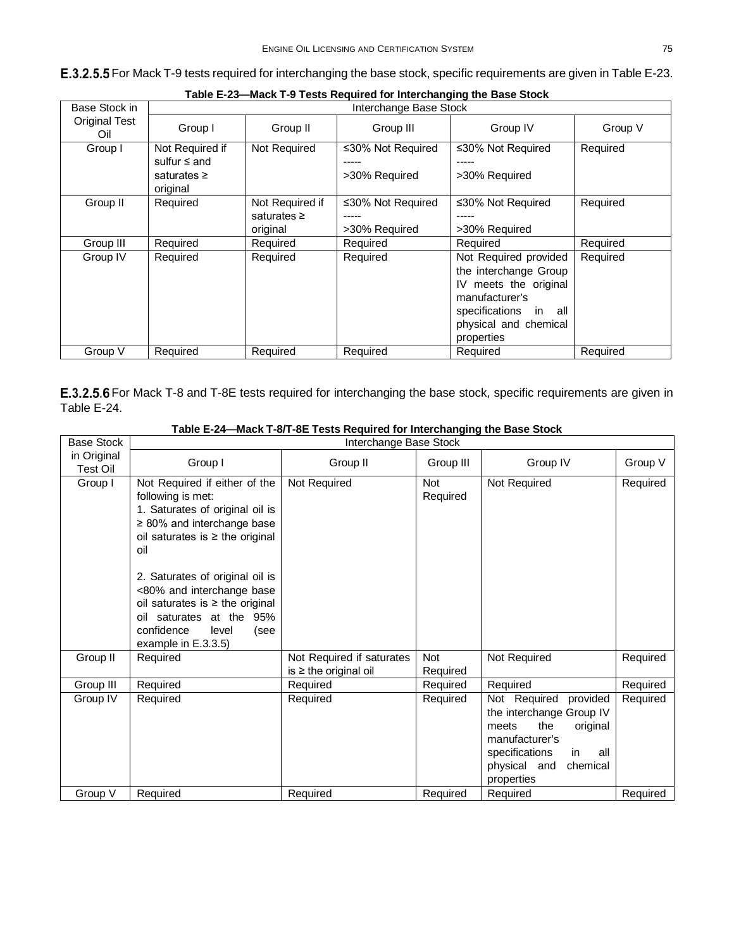#### <span id="page-20-1"></span>E.3.2.5.5 For Mack T-9 tests required for interchanging the base stock, specific requirements are given i[n Table E-23.](#page-20-2)

<span id="page-20-2"></span>

| Base Stock in               | Interchange Base Stock                                               |                                                 |                                             |                                                                                                                                                              |          |
|-----------------------------|----------------------------------------------------------------------|-------------------------------------------------|---------------------------------------------|--------------------------------------------------------------------------------------------------------------------------------------------------------------|----------|
| <b>Original Test</b><br>Oil | Group I                                                              | Group II                                        | Group III                                   | Group IV                                                                                                                                                     | Group V  |
| Group I                     | Not Required if<br>sulfur $\leq$ and<br>saturates $\geq$<br>original | Not Required                                    | ≤30% Not Required<br>>30% Required          | ≤30% Not Required<br>>30% Required                                                                                                                           | Required |
| Group II                    | Required                                                             | Not Required if<br>saturates $\geq$<br>original | ≤30% Not Required<br>-----<br>>30% Required | ≤30% Not Required<br>>30% Required                                                                                                                           | Required |
| Group III                   | Required                                                             | Required                                        | Required                                    | Required                                                                                                                                                     | Required |
| Group IV                    | Required                                                             | Required                                        | Required                                    | Not Required provided<br>the interchange Group<br>meets the original<br>IV<br>manufacturer's<br>specifications in all<br>physical and chemical<br>properties | Required |
| Group V                     | Required                                                             | Required                                        | Required                                    | Required                                                                                                                                                     | Required |

**Table E-23—Mack T-9 Tests Required for Interchanging the Base Stock**

<span id="page-20-0"></span>E.3.2.5.6 For Mack T-8 and T-8E tests required for interchanging the base stock, specific requirements are given in [Table E-24.](#page-20-3)

<span id="page-20-3"></span>

| <b>Base Stock</b>       |                                                                                                                                                                                                                                                                                                                                                                   | Interchange Base Stock                                  |                        |                                                                                                                                                                             |          |
|-------------------------|-------------------------------------------------------------------------------------------------------------------------------------------------------------------------------------------------------------------------------------------------------------------------------------------------------------------------------------------------------------------|---------------------------------------------------------|------------------------|-----------------------------------------------------------------------------------------------------------------------------------------------------------------------------|----------|
| in Original<br>Test Oil | Group I                                                                                                                                                                                                                                                                                                                                                           | Group II                                                | Group III              | Group IV                                                                                                                                                                    | Group V  |
| Group I                 | Not Required if either of the<br>following is met:<br>1. Saturates of original oil is<br>$\geq$ 80% and interchange base<br>oil saturates is $\geq$ the original<br>oil<br>2. Saturates of original oil is<br><80% and interchange base<br>oil saturates is $\geq$ the original<br>oil saturates at the 95%<br>confidence<br>level<br>(see<br>example in E.3.3.5) | Not Required                                            | <b>Not</b><br>Required | Not Required                                                                                                                                                                | Required |
| Group II                | Required                                                                                                                                                                                                                                                                                                                                                          | Not Required if saturates<br>is $\geq$ the original oil | Not<br>Required        | Not Required                                                                                                                                                                | Required |
| Group III               | Required                                                                                                                                                                                                                                                                                                                                                          | Required                                                | Required               | Required                                                                                                                                                                    | Required |
| Group IV                | Required                                                                                                                                                                                                                                                                                                                                                          | Required                                                | Required               | Not Required<br>provided<br>the interchange Group IV<br>the<br>original<br>meets<br>manufacturer's<br>specifications<br>in<br>all<br>physical and<br>chemical<br>properties | Required |
| Group V                 | Required                                                                                                                                                                                                                                                                                                                                                          | Required                                                | Required               | Required                                                                                                                                                                    | Required |

#### **Table E-24—Mack T-8/T-8E Tests Required for Interchanging the Base Stock**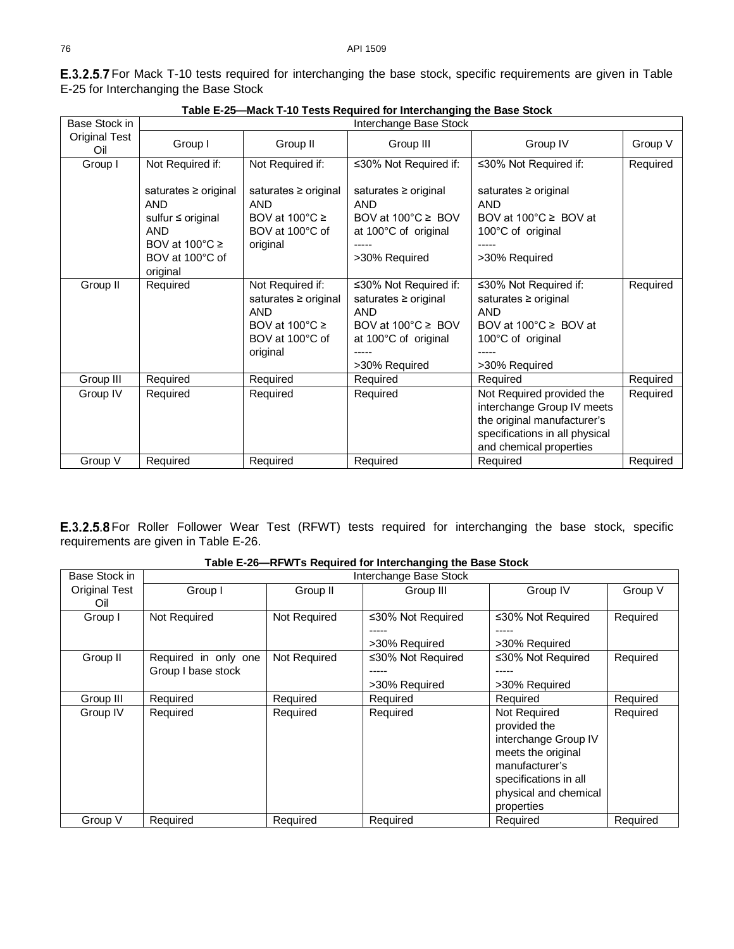<span id="page-21-0"></span>E.3.2.5.7 For Mack T-10 tests required for interchanging the base stock, specific requirements are given in Table [E-25](#page-21-2) for Interchanging the Base Stock

<span id="page-21-2"></span>

|                             | <b>Madrey Tours Required for micronariging the Bace otoph</b>                                                                       |                                                                                                                       |                                                                                                                                           |                                                                                                                                                     |          |  |  |  |
|-----------------------------|-------------------------------------------------------------------------------------------------------------------------------------|-----------------------------------------------------------------------------------------------------------------------|-------------------------------------------------------------------------------------------------------------------------------------------|-----------------------------------------------------------------------------------------------------------------------------------------------------|----------|--|--|--|
| Base Stock in               |                                                                                                                                     |                                                                                                                       | Interchange Base Stock                                                                                                                    |                                                                                                                                                     |          |  |  |  |
| <b>Original Test</b><br>Oil | Group I                                                                                                                             | Group II                                                                                                              | Group III                                                                                                                                 | Group IV                                                                                                                                            | Group V  |  |  |  |
| Group I                     | Not Required if:                                                                                                                    | Not Required if:                                                                                                      | ≤30% Not Required if:                                                                                                                     | ≤30% Not Required if:                                                                                                                               | Required |  |  |  |
|                             | saturates ≥ original<br>AND<br>sulfur $\leq$ original<br><b>AND</b><br>BOV at $100^{\circ}$ C $\geq$<br>BOV at 100°C of<br>original | saturates ≥ original<br><b>AND</b><br>BOV at $100^{\circ}$ C $\geq$<br>BOV at 100°C of<br>original                    | saturates ≥ original<br><b>AND</b><br>BOV at $100^{\circ}$ C $\geq$ BOV<br>at 100°C of original<br>-----<br>>30% Required                 | saturates ≥ original<br><b>AND</b><br>BOV at $100^{\circ}$ C $\geq$ BOV at<br>100°C of original<br>>30% Required                                    |          |  |  |  |
| Group II                    | Required                                                                                                                            | Not Required if:<br>saturates ≥ original<br><b>AND</b><br>BOV at $100^{\circ}$ C $\ge$<br>BOV at 100°C of<br>original | ≤30% Not Required if:<br>saturates ≥ original<br><b>AND</b><br>BOV at $100^{\circ}$ C $\geq$ BOV<br>at 100°C of original<br>>30% Required | ≤30% Not Required if:<br>saturates ≥ original<br><b>AND</b><br>BOV at $100^{\circ}$ C $\geq$ BOV at<br>100°C of original<br>>30% Required           | Required |  |  |  |
| Group III                   | Required                                                                                                                            | Required                                                                                                              | Required                                                                                                                                  | Required                                                                                                                                            | Required |  |  |  |
| Group IV                    | Required                                                                                                                            | Required                                                                                                              | Required                                                                                                                                  | Not Required provided the<br>interchange Group IV meets<br>the original manufacturer's<br>specifications in all physical<br>and chemical properties | Required |  |  |  |
| Group V                     | Required                                                                                                                            | Required                                                                                                              | Required                                                                                                                                  | Required                                                                                                                                            | Required |  |  |  |

**Table E-25—Mack T-10 Tests Required for Interchanging the Base Stock**

<span id="page-21-1"></span>E.3.2.5.8 For Roller Follower Wear Test (RFWT) tests required for interchanging the base stock, specific requirements are given in [Table E-26.](#page-21-3)

**Table E-26—RFWTs Required for Interchanging the Base Stock**

<span id="page-21-3"></span>

| Base Stock in        | Interchange Base Stock                     |              |                                    |                                                                                                                                                              |          |  |
|----------------------|--------------------------------------------|--------------|------------------------------------|--------------------------------------------------------------------------------------------------------------------------------------------------------------|----------|--|
| Original Test<br>Oil | Group I                                    | Group II     | Group III                          | Group IV                                                                                                                                                     | Group V  |  |
| Group I              | Not Required                               | Not Required | ≤30% Not Required<br>>30% Required | ≤30% Not Required<br>-----<br>>30% Required                                                                                                                  | Required |  |
| Group II             | Required in only one<br>Group I base stock | Not Required | ≤30% Not Required<br>>30% Required | ≤30% Not Required<br>-----<br>>30% Required                                                                                                                  | Required |  |
| Group III            | Required                                   | Required     | Required                           | Required                                                                                                                                                     | Required |  |
| Group IV             | Required                                   | Required     | Required                           | Not Required<br>provided the<br>interchange Group IV<br>meets the original<br>manufacturer's<br>specifications in all<br>physical and chemical<br>properties | Required |  |
| Group V              | Required                                   | Required     | Required                           | Required                                                                                                                                                     | Required |  |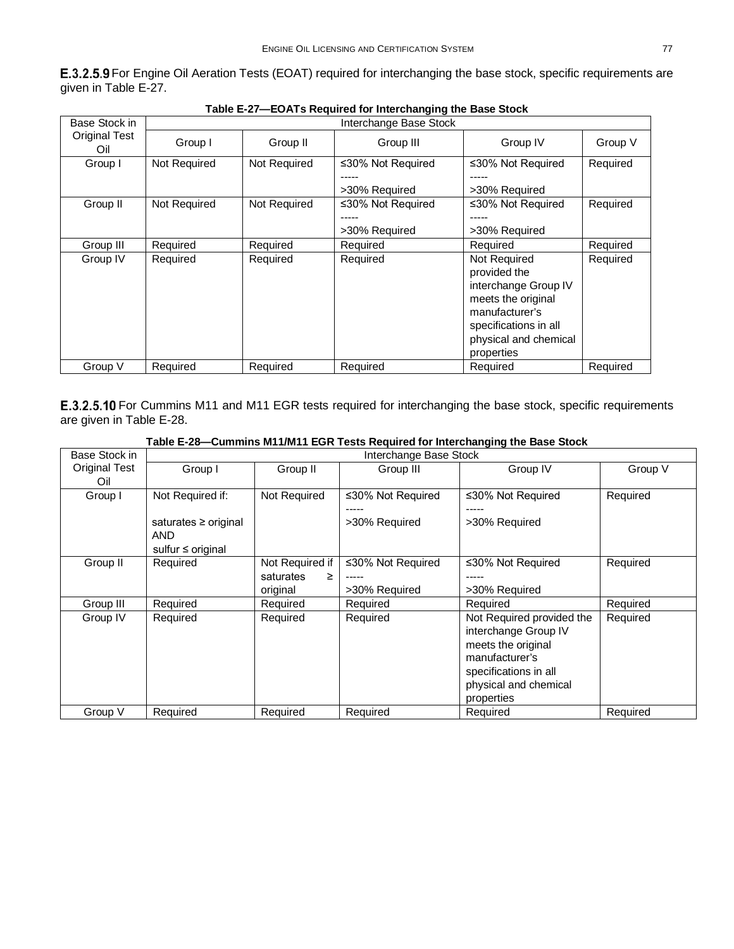<span id="page-22-0"></span>E.3.2.5.9 For Engine Oil Aeration Tests (EOAT) required for interchanging the base stock, specific requirements are given in [Table E-27.](#page-22-2)

<span id="page-22-2"></span>

| Base Stock in               | Interchange Base Stock |              |                   |                                                                                                                                                              |          |  |  |
|-----------------------------|------------------------|--------------|-------------------|--------------------------------------------------------------------------------------------------------------------------------------------------------------|----------|--|--|
| <b>Original Test</b><br>Oil | Group I                | Group II     | Group III         | Group IV                                                                                                                                                     | Group V  |  |  |
| Group I                     | Not Required           | Not Required | ≤30% Not Required | ≤30% Not Required                                                                                                                                            | Required |  |  |
|                             |                        |              | >30% Required     | >30% Required                                                                                                                                                |          |  |  |
| Group II                    | Not Required           | Not Required | ≤30% Not Required | ≤30% Not Required                                                                                                                                            | Required |  |  |
|                             |                        |              | -----             |                                                                                                                                                              |          |  |  |
|                             |                        |              | >30% Required     | >30% Required                                                                                                                                                |          |  |  |
| Group III                   | Required               | Required     | Required          | Required                                                                                                                                                     | Required |  |  |
| Group IV                    | Required               | Required     | Required          | Not Required<br>provided the<br>interchange Group IV<br>meets the original<br>manufacturer's<br>specifications in all<br>physical and chemical<br>properties | Required |  |  |
| Group V                     | Required               | Required     | Required          | Required                                                                                                                                                     | Required |  |  |

| Table E-27—EOATs Required for Interchanging the Base Stock |  |  |  |
|------------------------------------------------------------|--|--|--|
|                                                            |  |  |  |

<span id="page-22-1"></span>E.3.2.5.10 For Cummins M11 and M11 EGR tests required for interchanging the base stock, specific requirements are given in [Table E-28.](#page-22-3)

<span id="page-22-3"></span>

|               | Table E-28—Cummins M11/M11 EGR Tests Required for Interchanging the Base Stock I |                              |                                    |                                                                                                                                                           |          |  |  |
|---------------|----------------------------------------------------------------------------------|------------------------------|------------------------------------|-----------------------------------------------------------------------------------------------------------------------------------------------------------|----------|--|--|
| Base Stock in | Interchange Base Stock                                                           |                              |                                    |                                                                                                                                                           |          |  |  |
| Original Test | Group I                                                                          | Group II                     | Group III                          | Group IV                                                                                                                                                  | Group V  |  |  |
| Oil           |                                                                                  |                              |                                    |                                                                                                                                                           |          |  |  |
| Group I       | Not Required if:                                                                 | Not Required                 | ≤30% Not Required                  | ≤30% Not Required                                                                                                                                         | Required |  |  |
|               | saturates ≥ original<br><b>AND</b><br>sulfur $\leq$ original                     |                              | >30% Required                      | >30% Required                                                                                                                                             |          |  |  |
| Group II      | Required                                                                         | Not Required if<br>saturates | ≤30% Not Required<br>>30% Required | ≤30% Not Required<br>>30% Required                                                                                                                        | Required |  |  |
|               | Required                                                                         | original                     |                                    | Required                                                                                                                                                  | Required |  |  |
| Group III     |                                                                                  | Required                     | Required                           |                                                                                                                                                           |          |  |  |
| Group IV      | Required                                                                         | Required                     | Required                           | Not Required provided the<br>interchange Group IV<br>meets the original<br>manufacturer's<br>specifications in all<br>physical and chemical<br>properties | Required |  |  |
| Group V       | Required                                                                         | Required                     | Required                           | Required                                                                                                                                                  | Required |  |  |

#### **Table E-28—Cummins M11/M11 EGR Tests Required for Interchanging the Base Stock**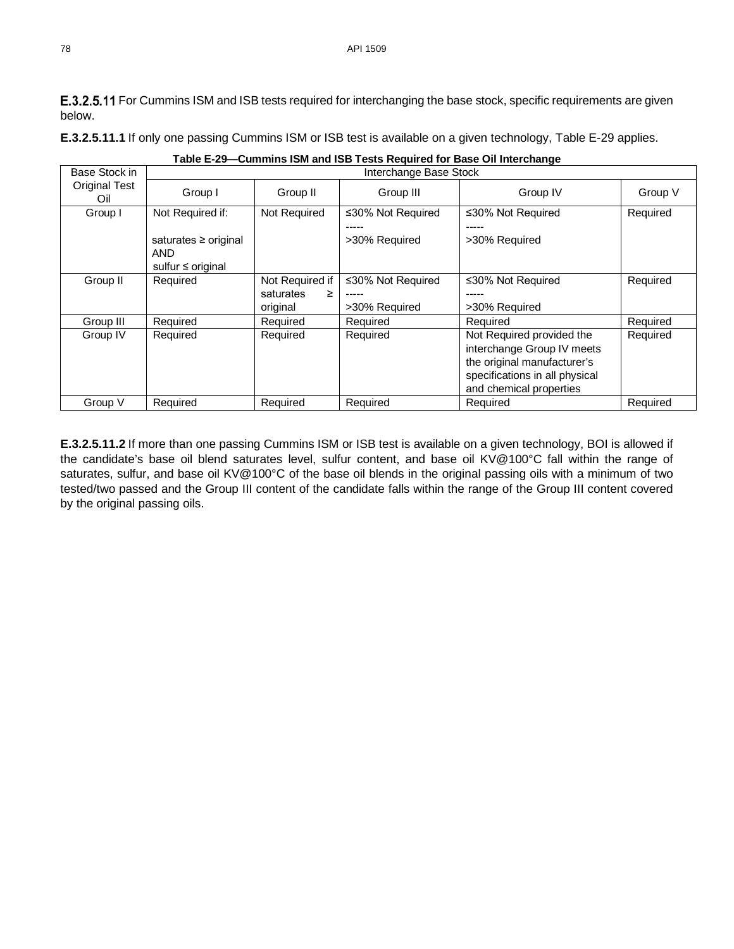<span id="page-23-0"></span>E.3.2.5.11 For Cummins ISM and ISB tests required for interchanging the base stock, specific requirements are given below.

**E.3.2.5.11.1** If only one passing Cummins ISM or ISB test is available on a given technology, [Table E-29](#page-23-2) applies.

<span id="page-23-2"></span><span id="page-23-1"></span>

| Base Stock in               | Interchange Base Stock                                |                 |                   |                                                                                                                                                     |          |  |  |  |
|-----------------------------|-------------------------------------------------------|-----------------|-------------------|-----------------------------------------------------------------------------------------------------------------------------------------------------|----------|--|--|--|
| <b>Original Test</b><br>Oil | Group I                                               | Group II        | Group III         | Group IV                                                                                                                                            | Group V  |  |  |  |
| Group I                     | Not Required if:                                      | Not Required    | ≤30% Not Required | ≤30% Not Required                                                                                                                                   | Required |  |  |  |
|                             | saturates ≥ original<br>AND<br>sulfur $\leq$ original |                 | >30% Required     | >30% Required                                                                                                                                       |          |  |  |  |
| Group II                    | Required                                              | Not Required if | ≤30% Not Required | ≤30% Not Required                                                                                                                                   | Required |  |  |  |
|                             |                                                       | saturates<br>≥  |                   |                                                                                                                                                     |          |  |  |  |
|                             |                                                       | original        | >30% Required     | >30% Required                                                                                                                                       |          |  |  |  |
| Group III                   | Required                                              | Required        | Required          | Required                                                                                                                                            | Required |  |  |  |
| Group IV                    | Required                                              | Required        | Required          | Not Required provided the<br>interchange Group IV meets<br>the original manufacturer's<br>specifications in all physical<br>and chemical properties | Required |  |  |  |
| Group V                     | Required                                              | Required        | Required          | Required                                                                                                                                            | Required |  |  |  |

**Table E-29—Cummins ISM and ISB Tests Required for Base Oil Interchange**

**E.3.2.5.11.2** If more than one passing Cummins ISM or ISB test is available on a given technology, BOI is allowed if the candidate's base oil blend saturates level, sulfur content, and base oil KV@100°C fall within the range of saturates, sulfur, and base oil KV@100°C of the base oil blends in the original passing oils with a minimum of two tested/two passed and the Group III content of the candidate falls within the range of the Group III content covered by the original passing oils.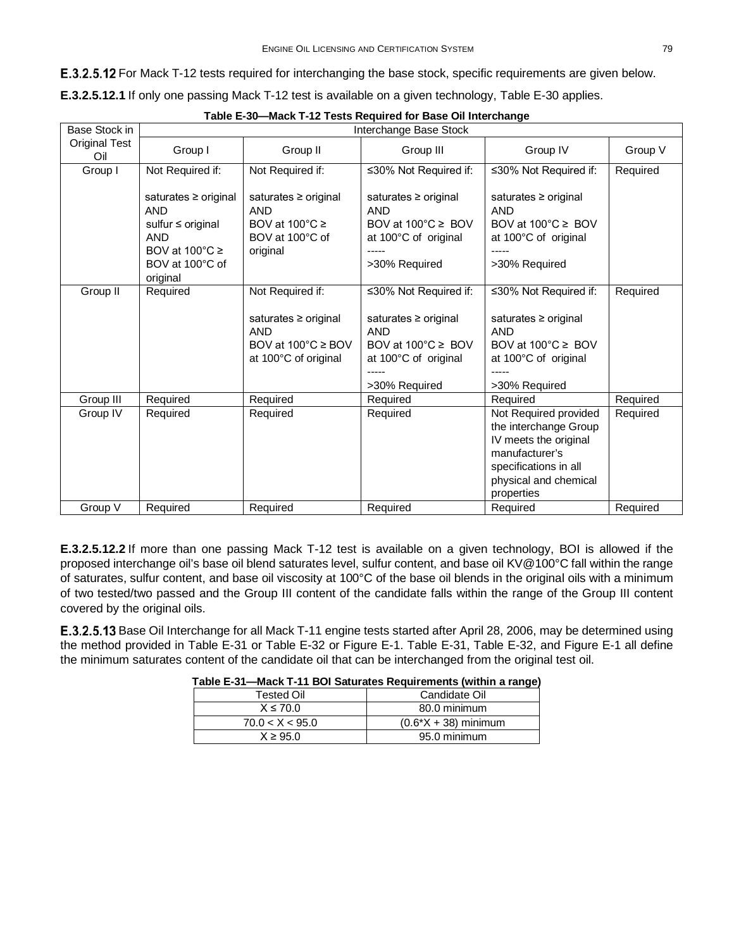<span id="page-24-1"></span>E.3.2.5.12 For Mack T-12 tests required for interchanging the base stock, specific requirements are given below.

**E.3.2.5.12.1** If only one passing Mack T-12 test is available on a given technology, [Table E-30](#page-24-2) applies.

<span id="page-24-2"></span>

| Base Stock in               |                                                                                                                                           |                                                                                                         | Interchange Base Stock                                                                                    |                                                                                                                                  |          |
|-----------------------------|-------------------------------------------------------------------------------------------------------------------------------------------|---------------------------------------------------------------------------------------------------------|-----------------------------------------------------------------------------------------------------------|----------------------------------------------------------------------------------------------------------------------------------|----------|
| <b>Original Test</b><br>Oil | Group I                                                                                                                                   | Group II                                                                                                | Group III                                                                                                 | Group IV                                                                                                                         | Group V  |
| Group I                     | Not Required if:                                                                                                                          | Not Required if:                                                                                        | ≤30% Not Required if:                                                                                     | ≤30% Not Required if:                                                                                                            | Required |
|                             | saturates $\geq$ original<br><b>AND</b><br>sulfur ≤ original<br><b>AND</b><br>BOV at $100^{\circ}$ C $\ge$<br>BOV at 100°C of<br>original | saturates $\geq$ original<br><b>AND</b><br>BOV at $100^{\circ}$ C $\geq$<br>BOV at 100°C of<br>original | saturates ≥ original<br><b>AND</b><br>BOV at 100°C ≥ BOV<br>at 100°C of original<br>>30% Required         | saturates $\geq$ original<br><b>AND</b><br>BOV at 100°C ≥ BOV<br>at 100°C of original<br>>30% Required                           |          |
| Group II                    | Required                                                                                                                                  | Not Required if:<br>saturates ≥ original<br><b>AND</b><br>BOV at 100°C ≥ BOV<br>at 100°C of original    | ≤30% Not Required if:<br>saturates ≥ original<br><b>AND</b><br>BOV at 100°C ≥ BOV<br>at 100°C of original | ≤30% Not Required if:<br>saturates $\geq$ original<br><b>AND</b><br>BOV at 100°C ≥ BOV<br>at 100°C of original                   | Required |
| Group III                   |                                                                                                                                           |                                                                                                         | >30% Required                                                                                             | >30% Required                                                                                                                    | Required |
| Group IV                    | Required<br>Required                                                                                                                      | Required<br>Required                                                                                    | Required<br>Required                                                                                      | Required<br>Not Required provided                                                                                                | Required |
|                             |                                                                                                                                           |                                                                                                         |                                                                                                           | the interchange Group<br>IV meets the original<br>manufacturer's<br>specifications in all<br>physical and chemical<br>properties |          |
| Group V                     | Required                                                                                                                                  | Required                                                                                                | Required                                                                                                  | Required                                                                                                                         | Required |

|  |  | Table E-30-Mack T-12 Tests Required for Base Oil Interchange |
|--|--|--------------------------------------------------------------|
|  |  |                                                              |

**E.3.2.5.12.2** If more than one passing Mack T-12 test is available on a given technology, BOI is allowed if the proposed interchange oil's base oil blend saturates level, sulfur content, and base oil KV@100°C fall within the range of saturates, sulfur content, and base oil viscosity at 100°C of the base oil blends in the original oils with a minimum of two tested/two passed and the Group III content of the candidate falls within the range of the Group III content covered by the original oils.

<span id="page-24-3"></span><span id="page-24-0"></span>E.3.2.5.13 Base Oil Interchange for all Mack T-11 engine tests started after April 28, 2006, may be determined using the method provided in [Table E-31](#page-24-3) or [Table E-32](#page-25-0) or [Figure E-1.](#page-25-1) [Table E-31,](#page-24-3) [Table E-32,](#page-25-0) and [Figure E-1](#page-25-1) all define the minimum saturates content of the candidate oil that can be interchanged from the original test oil.

| Tested Oil      | Candidate Oil           |
|-----------------|-------------------------|
| $X \le 70.0$    | 80.0 minimum            |
| 70.0 < X < 95.0 | $(0.6^*X + 38)$ minimum |
| $X \geq 95.0$   | 95.0 minimum            |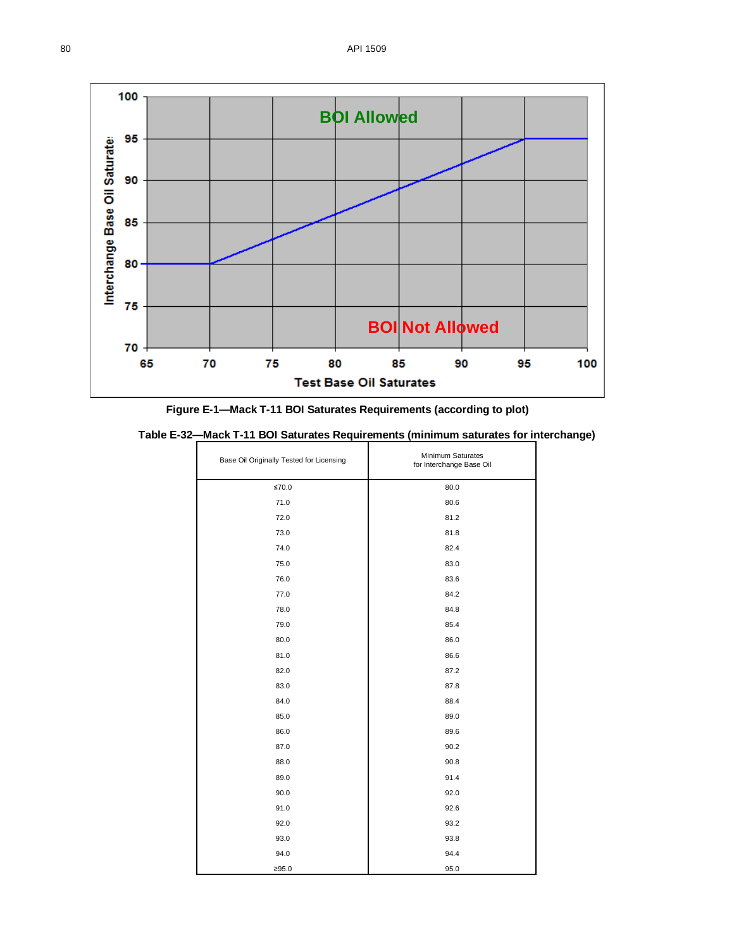

**Figure E-1—Mack T-11 BOI Saturates Requirements (according to plot)**

<span id="page-25-1"></span><span id="page-25-0"></span>

|  |  |  | Table E-32—Mack T-11 BOI Saturates Requirements (minimum saturates for interchange) |  |  |  |  |
|--|--|--|-------------------------------------------------------------------------------------|--|--|--|--|
|--|--|--|-------------------------------------------------------------------------------------|--|--|--|--|

| Base Oil Originally Tested for Licensing | Minimum Saturates<br>for Interchange Base Oil |
|------------------------------------------|-----------------------------------------------|
| $≤70.0$                                  | 80.0                                          |
| 71.0                                     | 80.6                                          |
| 72.0                                     | 81.2                                          |
| 73.0                                     | 81.8                                          |
| 74.0                                     | 82.4                                          |
| 75.0                                     | 83.0                                          |
| 76.0                                     | 83.6                                          |
| 77.0                                     | 84.2                                          |
| 78.0                                     | 84.8                                          |
| 79.0                                     | 85.4                                          |
| 80.0                                     | 86.0                                          |
| 81.0                                     | 86.6                                          |
| 82.0                                     | 87.2                                          |
| 83.0                                     | 87.8                                          |
| 84.0                                     | 88.4                                          |
| 85.0                                     | 89.0                                          |
| 86.0                                     | 89.6                                          |
| 87.0                                     | 90.2                                          |
| 88.0                                     | 90.8                                          |
| 89.0                                     | 91.4                                          |
| 90.0                                     | 92.0                                          |
| 91.0                                     | 92.6                                          |
| 92.0                                     | 93.2                                          |
| 93.0                                     | 93.8                                          |
| 94.0                                     | 94.4                                          |
| ≥95.0                                    | 95.0                                          |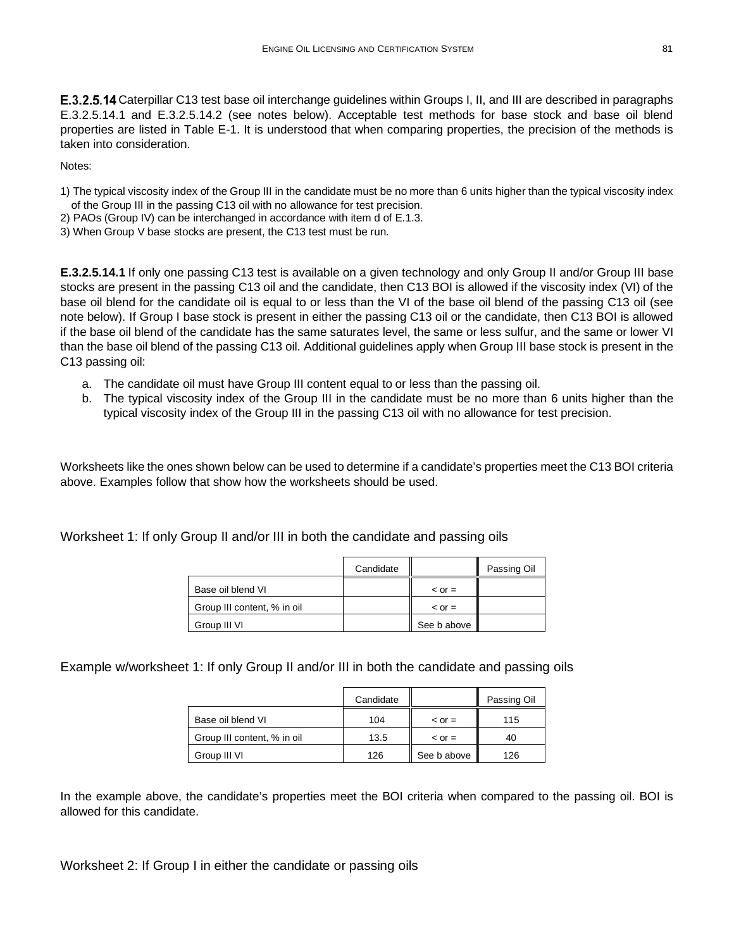E.3.2.5.14 Caterpillar C13 test base oil interchange guidelines within Groups I, II, and III are described in paragraphs [E.3.2.5.14.1](#page-26-0) and [E.3.2.5.14.2](#page-27-0) (see notes below). Acceptable test methods for base stock and base oil blend properties are listed in Table E-1. It is understood that when comparing properties, the precision of the methods is taken into consideration.

Notes:

- 1) The typical viscosity index of the Group III in the candidate must be no more than 6 units higher than the typical viscosity index of the Group III in the passing C13 oil with no allowance for test precision.
- 2) PAOs (Group IV) can be interchanged in accordance with item d of E.1.3.
- 3) When Group V base stocks are present, the C13 test must be run.

<span id="page-26-0"></span>**E.3.2.5.14.1** If only one passing C13 test is available on a given technology and only Group II and/or Group III base stocks are present in the passing C13 oil and the candidate, then C13 BOI is allowed if the viscosity index (VI) of the base oil blend for the candidate oil is equal to or less than the VI of the base oil blend of the passing C13 oil (see note below). If Group I base stock is present in either the passing C13 oil or the candidate, then C13 BOI is allowed if the base oil blend of the candidate has the same saturates level, the same or less sulfur, and the same or lower VI than the base oil blend of the passing C13 oil. Additional guidelines apply when Group III base stock is present in the C13 passing oil:

- a. The candidate oil must have Group III content equal to or less than the passing oil.
- b. The typical viscosity index of the Group III in the candidate must be no more than 6 units higher than the typical viscosity index of the Group III in the passing C13 oil with no allowance for test precision.

Worksheets like the ones shown below can be used to determine if a candidate's properties meet the C13 BOI criteria above. Examples follow that show how the worksheets should be used.

Worksheet 1: If only Group II and/or III in both the candidate and passing oils

|                             | Candidate |               | Passing Oil |
|-----------------------------|-----------|---------------|-------------|
| Base oil blend VI           |           | $\leq$ or $=$ |             |
| Group III content, % in oil |           | $\leq$ or $=$ |             |
| Group III VI                |           | See b above   |             |

Example w/worksheet 1: If only Group II and/or III in both the candidate and passing oils

|                             | Candidate |               | Passing Oil |
|-----------------------------|-----------|---------------|-------------|
| Base oil blend VI           | 104       | $\leq$ or $=$ | 115         |
| Group III content, % in oil | 13.5      | $\leq$ or $=$ | 40          |
| Group III VI                | 126       | See b above   | 126         |

In the example above, the candidate's properties meet the BOI criteria when compared to the passing oil. BOI is allowed for this candidate.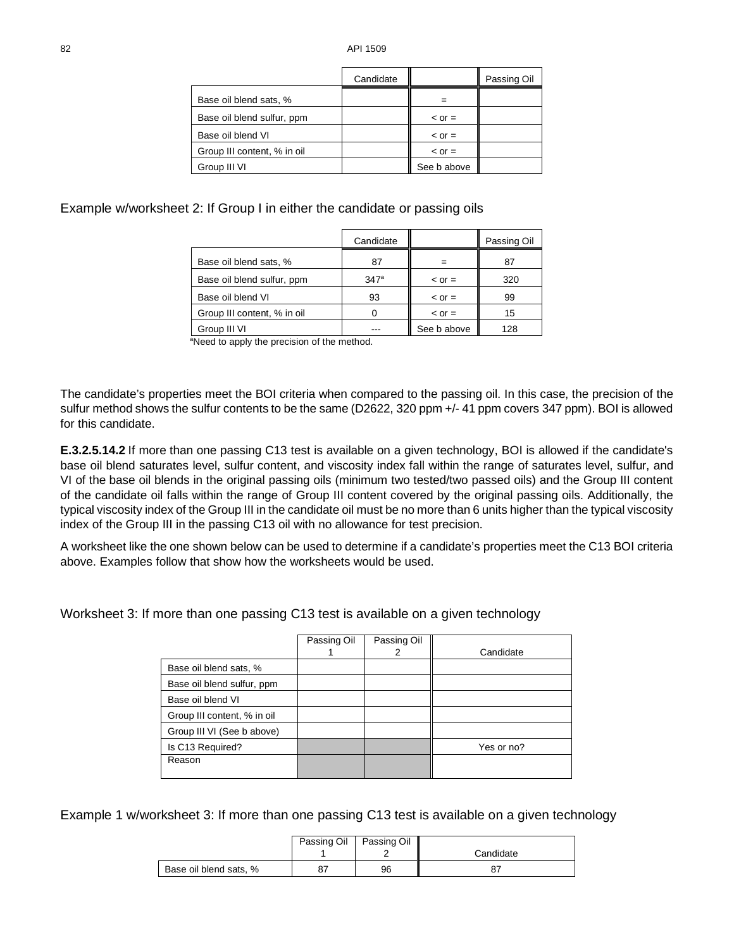|                             | Candidate |               | Passing Oil |
|-----------------------------|-----------|---------------|-------------|
| Base oil blend sats, %      |           |               |             |
| Base oil blend sulfur, ppm  |           | $\leq$ or $=$ |             |
| Base oil blend VI           |           | $\leq$ or $=$ |             |
| Group III content, % in oil |           | $\leq$ or $=$ |             |
| Group III VI                |           | See b above   |             |

Example w/worksheet 2: If Group I in either the candidate or passing oils

|                             | Candidate        |               | Passing Oil |
|-----------------------------|------------------|---------------|-------------|
| Base oil blend sats, %      | 87               |               | 87          |
| Base oil blend sulfur, ppm  | 347 <sup>a</sup> | $\leq$ or $=$ | 320         |
| Base oil blend VI           | 93               | $\leq$ or $=$ | 99          |
| Group III content, % in oil |                  | $\leq$ or $=$ | 15          |
| Group III VI                |                  | See b above   | 128         |

aNeed to apply the precision of the method.

The candidate's properties meet the BOI criteria when compared to the passing oil. In this case, the precision of the sulfur method shows the sulfur contents to be the same (D2622, 320 ppm +/- 41 ppm covers 347 ppm). BOI is allowed for this candidate.

<span id="page-27-0"></span>**E.3.2.5.14.2** If more than one passing C13 test is available on a given technology, BOI is allowed if the candidate's base oil blend saturates level, sulfur content, and viscosity index fall within the range of saturates level, sulfur, and VI of the base oil blends in the original passing oils (minimum two tested/two passed oils) and the Group III content of the candidate oil falls within the range of Group III content covered by the original passing oils. Additionally, the typical viscosity index of the Group III in the candidate oil must be no more than 6 units higher than the typical viscosity index of the Group III in the passing C13 oil with no allowance for test precision.

A worksheet like the one shown below can be used to determine if a candidate's properties meet the C13 BOI criteria above. Examples follow that show how the worksheets would be used.

Worksheet 3: If more than one passing C13 test is available on a given technology

|                             | Passing Oil | Passing Oil |            |
|-----------------------------|-------------|-------------|------------|
|                             |             | 2           | Candidate  |
| Base oil blend sats, %      |             |             |            |
| Base oil blend sulfur, ppm  |             |             |            |
| Base oil blend VI           |             |             |            |
| Group III content, % in oil |             |             |            |
| Group III VI (See b above)  |             |             |            |
| Is C13 Required?            |             |             | Yes or no? |
| Reason                      |             |             |            |
|                             |             |             |            |

Example 1 w/worksheet 3: If more than one passing C13 test is available on a given technology

|                        | Passing Oil Passing Oil |           |
|------------------------|-------------------------|-----------|
|                        |                         | Candidate |
| Base oil blend sats, % | 96                      | o٦        |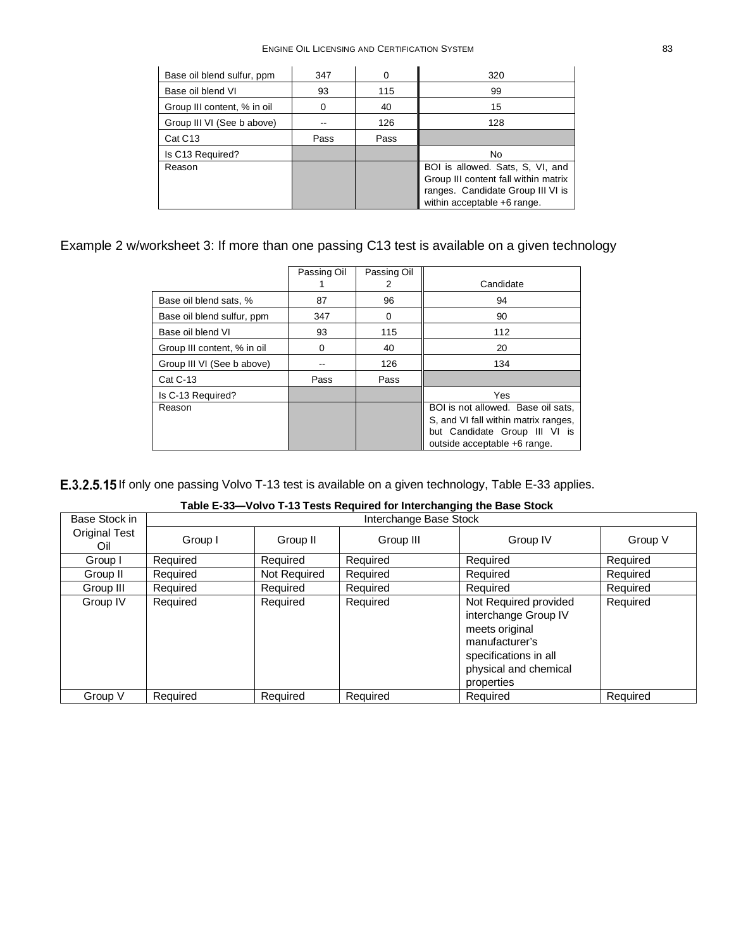| Base oil blend sulfur, ppm  | 347  |      | 320                                                                                                                                          |
|-----------------------------|------|------|----------------------------------------------------------------------------------------------------------------------------------------------|
| Base oil blend VI           | 93   | 115  | 99                                                                                                                                           |
| Group III content, % in oil |      | 40   | 15                                                                                                                                           |
| Group III VI (See b above)  |      | 126  | 128                                                                                                                                          |
| Cat C <sub>13</sub>         | Pass | Pass |                                                                                                                                              |
| Is C13 Required?            |      |      | No                                                                                                                                           |
| Reason                      |      |      | BOI is allowed. Sats, S, VI, and<br>Group III content fall within matrix<br>ranges. Candidate Group III VI is<br>within acceptable +6 range. |

# Example 2 w/worksheet 3: If more than one passing C13 test is available on a given technology

|                             | Passing Oil | Passing Oil<br>2 | Candidate                                                                                                                                   |
|-----------------------------|-------------|------------------|---------------------------------------------------------------------------------------------------------------------------------------------|
| Base oil blend sats, %      | 87          | 96               | 94                                                                                                                                          |
| Base oil blend sulfur, ppm  | 347         |                  | 90                                                                                                                                          |
| Base oil blend VI           | 93          | 115              | 112                                                                                                                                         |
| Group III content, % in oil | U           | 40               | 20                                                                                                                                          |
| Group III VI (See b above)  |             | 126              | 134                                                                                                                                         |
| <b>Cat C-13</b>             | Pass        | Pass             |                                                                                                                                             |
| Is C-13 Required?           |             |                  | <b>Yes</b>                                                                                                                                  |
| Reason                      |             |                  | BOI is not allowed. Base oil sats.<br>S, and VI fall within matrix ranges.<br>but Candidate Group III VI is<br>outside acceptable +6 range. |

<span id="page-28-0"></span>E.3.2.5.15 If only one passing Volvo T-13 test is available on a given technology, [Table E-33](#page-28-1) applies.

<span id="page-28-1"></span>

| Base Stock in        |          | Interchange Base Stock |           |                                                                                                                                                   |          |  |  |
|----------------------|----------|------------------------|-----------|---------------------------------------------------------------------------------------------------------------------------------------------------|----------|--|--|
| Original Test<br>Oil | Group I  | Group II               | Group III | Group IV                                                                                                                                          | Group V  |  |  |
| Group I              | Required | Required               | Required  | Required                                                                                                                                          | Required |  |  |
| Group II             | Required | Not Required           | Required  | Required                                                                                                                                          | Required |  |  |
| Group III            | Required | Required               | Required  | Required                                                                                                                                          | Required |  |  |
| Group IV             | Required | Required               | Required  | Not Required provided<br>interchange Group IV<br>meets original<br>manufacturer's<br>specifications in all<br>physical and chemical<br>properties | Required |  |  |
| Group V              | Required | Required               | Required  | Required                                                                                                                                          | Required |  |  |

| Table E-33—Volvo T-13 Tests Required for Interchanging the Base Stock |  |  |
|-----------------------------------------------------------------------|--|--|
|-----------------------------------------------------------------------|--|--|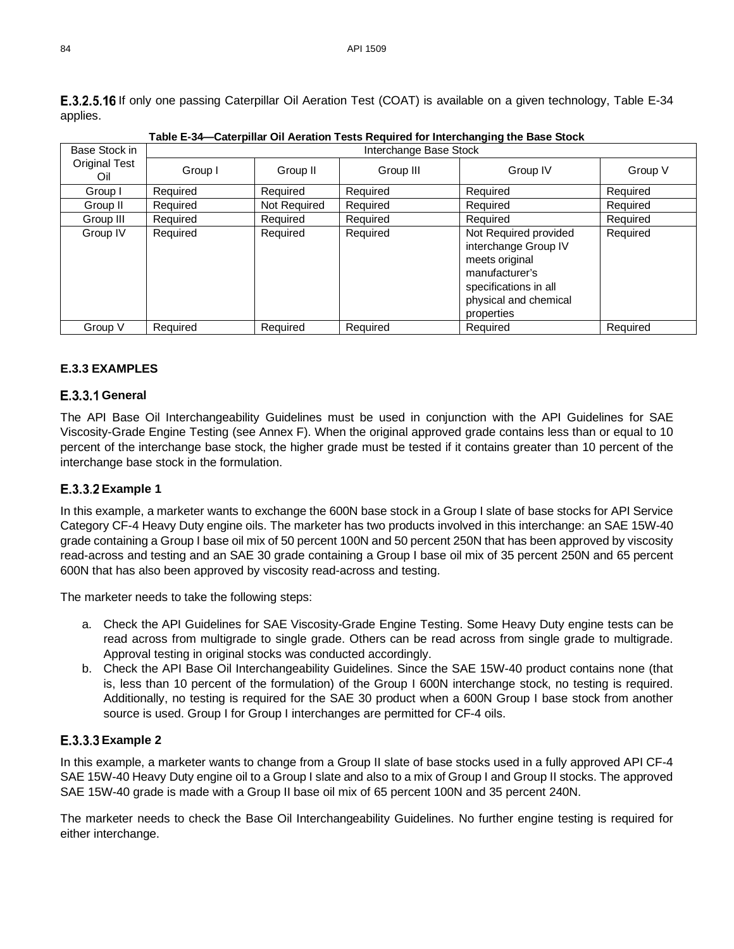<span id="page-29-1"></span>

| rable E-34—Caterphiar Oil Aeration Tests Required for interchanging the Base Stock. |                        |              |           |                                                                                                                                                   |          |  |
|-------------------------------------------------------------------------------------|------------------------|--------------|-----------|---------------------------------------------------------------------------------------------------------------------------------------------------|----------|--|
| Base Stock in                                                                       | Interchange Base Stock |              |           |                                                                                                                                                   |          |  |
| <b>Original Test</b><br>Oil                                                         | Group I                | Group II     | Group III | Group IV                                                                                                                                          | Group V  |  |
| Group I                                                                             | Required               | Required     | Required  | Required                                                                                                                                          | Required |  |
| Group II                                                                            | Required               | Not Required | Required  | Required                                                                                                                                          | Required |  |
| Group III                                                                           | Required               | Required     | Required  | Required                                                                                                                                          | Required |  |
| Group IV                                                                            | Required               | Required     | Required  | Not Required provided<br>interchange Group IV<br>meets original<br>manufacturer's<br>specifications in all<br>physical and chemical<br>properties | Required |  |
| Group V                                                                             | Required               | Required     | Required  | Required                                                                                                                                          | Required |  |

<span id="page-29-0"></span>**E.3.2.5.16** If only one passing Caterpillar Oil Aeration Test (COAT) is available on a given technology, [Table E-34](#page-29-1) applies.

**Table E-34—Caterpillar Oil Aeration Tests Required for Interchanging the Base Stock**

### **E.3.3 EXAMPLES**

#### E.3.3.1 General

The API Base Oil Interchangeability Guidelines must be used in conjunction with the API Guidelines for SAE Viscosity-Grade Engine Testing (see Annex F). When the original approved grade contains less than or equal to 10 percent of the interchange base stock, the higher grade must be tested if it contains greater than 10 percent of the interchange base stock in the formulation.

### **E.3.3.2 Example 1**

In this example, a marketer wants to exchange the 600N base stock in a Group I slate of base stocks for API Service Category CF-4 Heavy Duty engine oils. The marketer has two products involved in this interchange: an SAE 15W-40 grade containing a Group I base oil mix of 50 percent 100N and 50 percent 250N that has been approved by viscosity read-across and testing and an SAE 30 grade containing a Group I base oil mix of 35 percent 250N and 65 percent 600N that has also been approved by viscosity read-across and testing.

The marketer needs to take the following steps:

- a. Check the API Guidelines for SAE Viscosity-Grade Engine Testing. Some Heavy Duty engine tests can be read across from multigrade to single grade. Others can be read across from single grade to multigrade. Approval testing in original stocks was conducted accordingly.
- b. Check the API Base Oil Interchangeability Guidelines. Since the SAE 15W-40 product contains none (that is, less than 10 percent of the formulation) of the Group I 600N interchange stock, no testing is required. Additionally, no testing is required for the SAE 30 product when a 600N Group I base stock from another source is used. Group I for Group I interchanges are permitted for CF-4 oils.

### **E.3.3.3 Example 2**

In this example, a marketer wants to change from a Group II slate of base stocks used in a fully approved API CF-4 SAE 15W-40 Heavy Duty engine oil to a Group I slate and also to a mix of Group I and Group II stocks. The approved SAE 15W-40 grade is made with a Group II base oil mix of 65 percent 100N and 35 percent 240N.

The marketer needs to check the Base Oil Interchangeability Guidelines. No further engine testing is required for either interchange.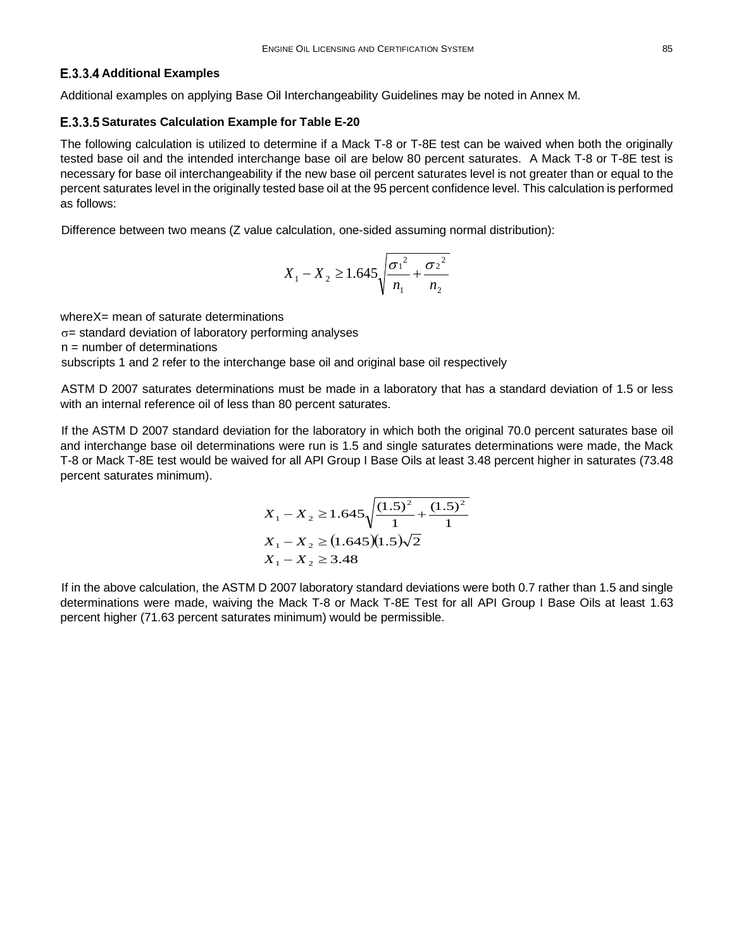#### **E.3.3.4 Additional Examples**

Additional examples on applying Base Oil Interchangeability Guidelines may be noted in Annex M.

#### <span id="page-30-0"></span>**Saturates Calculation Example for Table E-20**

The following calculation is utilized to determine if a Mack T-8 or T-8E test can be waived when both the originally tested base oil and the intended interchange base oil are below 80 percent saturates. A Mack T-8 or T-8E test is necessary for base oil interchangeability if the new base oil percent saturates level is not greater than or equal to the percent saturates level in the originally tested base oil at the 95 percent confidence level. This calculation is performed as follows:

Difference between two means (Z value calculation, one-sided assuming normal distribution):

$$
X_1 - X_2 \ge 1.645 \sqrt{\frac{{\sigma_1}^2}{n_1} + \frac{{\sigma_2}^2}{n_2}}
$$

whereX= mean of saturate determinations

σ= standard deviation of laboratory performing analyses

 $n =$  number of determinations

subscripts 1 and 2 refer to the interchange base oil and original base oil respectively

ASTM D 2007 saturates determinations must be made in a laboratory that has a standard deviation of 1.5 or less with an internal reference oil of less than 80 percent saturates.

If the ASTM D 2007 standard deviation for the laboratory in which both the original 70.0 percent saturates base oil and interchange base oil determinations were run is 1.5 and single saturates determinations were made, the Mack T-8 or Mack T-8E test would be waived for all API Group I Base Oils at least 3.48 percent higher in saturates (73.48 percent saturates minimum).

$$
X_1 - X_2 \ge 1.645 \sqrt{\frac{(1.5)^2}{1} + \frac{(1.5)^2}{1}}
$$
  

$$
X_1 - X_2 \ge (1.645)(1.5)\sqrt{2}
$$
  

$$
X_1 - X_2 \ge 3.48
$$

If in the above calculation, the ASTM D 2007 laboratory standard deviations were both 0.7 rather than 1.5 and single determinations were made, waiving the Mack T-8 or Mack T-8E Test for all API Group I Base Oils at least 1.63 percent higher (71.63 percent saturates minimum) would be permissible.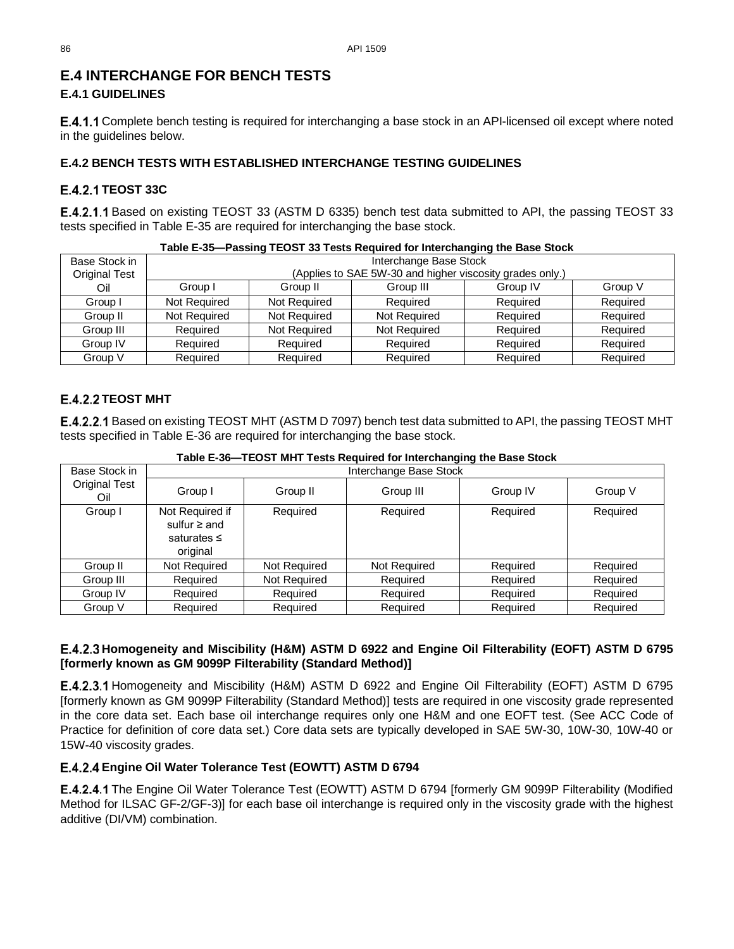# **E.4 INTERCHANGE FOR BENCH TESTS**

### **E.4.1 GUIDELINES**

**E.4.1.1** Complete bench testing is required for interchanging a base stock in an API-licensed oil except where noted in the guidelines below.

### **E.4.2 BENCH TESTS WITH ESTABLISHED INTERCHANGE TESTING GUIDELINES**

### <span id="page-31-2"></span>**E.4.2.1 TEOST 33C**

E.4.2.1.1 Based on existing TEOST 33 (ASTM D 6335) bench test data submitted to API, the passing TEOST 33 tests specified in [Table E-35](#page-31-4) are required for interchanging the base stock.

<span id="page-31-4"></span>

| Table E-35-Passing TEOST 33 Tests Required for Interchanging the Base Stock |                        |                     |                                                          |          |          |  |
|-----------------------------------------------------------------------------|------------------------|---------------------|----------------------------------------------------------|----------|----------|--|
| Base Stock in                                                               | Interchange Base Stock |                     |                                                          |          |          |  |
| <b>Original Test</b>                                                        |                        |                     | (Applies to SAE 5W-30 and higher viscosity grades only.) |          |          |  |
| Oil                                                                         | Group I                | Group II            | Group III                                                | Group IV | Group V  |  |
| Group I                                                                     | Not Required           | Not Required        | Required                                                 | Required | Required |  |
| Group II                                                                    | <b>Not Required</b>    | <b>Not Required</b> | Not Required                                             | Required | Required |  |
| Group III                                                                   | Required               | Not Required        | Not Required                                             | Required | Required |  |
| Group IV                                                                    | Required               | Required            | Required                                                 | Required | Required |  |
| Group V                                                                     | Required               | Required            | Required                                                 | Required | Required |  |

### <span id="page-31-3"></span>**E.4.2.2 TEOST MHT**

Based on existing TEOST MHT (ASTM D 7097) bench test data submitted to API, the passing TEOST MHT tests specified in Table E-36 are required for interchanging the base stock.

| Base Stock in               | Interchange Base Stock                                               |              |              |          |          |  |  |
|-----------------------------|----------------------------------------------------------------------|--------------|--------------|----------|----------|--|--|
| <b>Original Test</b><br>Oil | Group I                                                              | Group II     | Group III    | Group IV | Group V  |  |  |
| Group I                     | Not Required if<br>sulfur $\geq$ and<br>saturates $\leq$<br>original | Required     | Required     | Required | Required |  |  |
| Group II                    | Not Required                                                         | Not Required | Not Required | Required | Required |  |  |
| Group III                   | Required                                                             | Not Required | Required     | Required | Required |  |  |
| Group IV                    | Required                                                             | Required     | Required     | Required | Required |  |  |
| Group V                     | Required                                                             | Required     | Required     | Required | Required |  |  |

**Table E-36—TEOST MHT Tests Required for Interchanging the Base Stock**

### <span id="page-31-0"></span>**Homogeneity and Miscibility (H&M) ASTM D 6922 and Engine Oil Filterability (EOFT) ASTM D 6795 [formerly known as GM 9099P Filterability (Standard Method)]**

E.4.2.3.1 Homogeneity and Miscibility (H&M) ASTM D 6922 and Engine Oil Filterability (EOFT) ASTM D 6795 [formerly known as GM 9099P Filterability (Standard Method)] tests are required in one viscosity grade represented in the core data set. Each base oil interchange requires only one H&M and one EOFT test. (See ACC Code of Practice for definition of core data set.) Core data sets are typically developed in SAE 5W-30, 10W-30, 10W-40 or 15W-40 viscosity grades.

### <span id="page-31-1"></span>**Engine Oil Water Tolerance Test (EOWTT) ASTM D 6794**

E.4.2.4.1 The Engine Oil Water Tolerance Test (EOWTT) ASTM D 6794 [formerly GM 9099P Filterability (Modified Method for ILSAC GF-2/GF-3)] for each base oil interchange is required only in the viscosity grade with the highest additive (DI/VM) combination.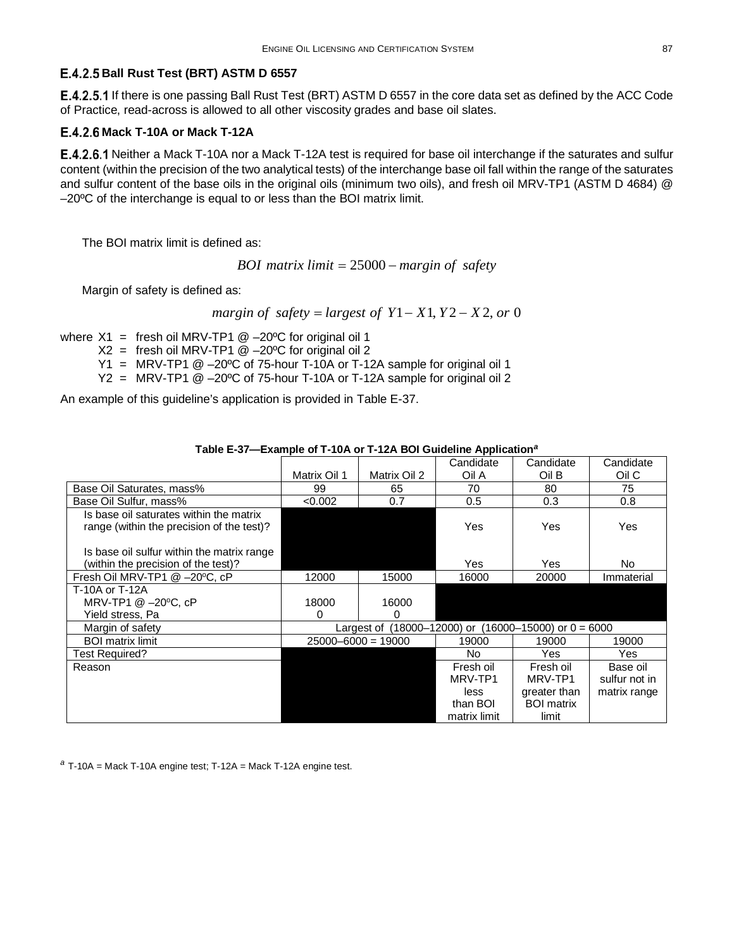#### <span id="page-32-0"></span>**Ball Rust Test (BRT) ASTM D 6557**

**E.4.2.5.1** If there is one passing Ball Rust Test (BRT) ASTM D 6557 in the core data set as defined by the ACC Code of Practice, read-across is allowed to all other viscosity grades and base oil slates.

#### <span id="page-32-1"></span>**Mack T-10A or Mack T-12A**

**E.4.2.6.1** Neither a Mack T-10A nor a Mack T-12A test is required for base oil interchange if the saturates and sulfur content (within the precision of the two analytical tests) of the interchange base oil fall within the range of the saturates and sulfur content of the base oils in the original oils (minimum two oils), and fresh oil MRV-TP1 (ASTM D 4684) @ –20ºC of the interchange is equal to or less than the BOI matrix limit.

The BOI matrix limit is defined as:

*BOI matrix limit* = 25000 − *margin of safety*

Margin of safety is defined as:

*margin of*  $\text{safety} = \text{largest of } Y1 - X1, Y2 - X2, \text{ or } 0$ 

where  $X1 =$  fresh oil MRV-TP1 @ -20°C for original oil 1

 $X2 =$  fresh oil MRV-TP1  $@ -20°C$  for original oil 2

Y1 = MRV-TP1 @ –20ºC of 75-hour T-10A or T-12A sample for original oil 1

Y2 = MRV-TP1 @ –20ºC of 75-hour T-10A or T-12A sample for original oil 2

An example of this guideline's application is provided in [Table E-37.](#page-32-2)

<span id="page-32-2"></span>

|                                            |              |                                                             | Candidate    | Candidate         | Candidate     |
|--------------------------------------------|--------------|-------------------------------------------------------------|--------------|-------------------|---------------|
|                                            | Matrix Oil 1 | Matrix Oil 2                                                | Oil A        | Oil B             | Oil C         |
| Base Oil Saturates, mass%                  | 99           | 65                                                          | 70           | 80                | 75            |
| Base Oil Sulfur, mass%                     | < 0.002      | 0.7                                                         | 0.5          | 0.3               | 0.8           |
| Is base oil saturates within the matrix    |              |                                                             |              |                   |               |
| range (within the precision of the test)?  |              |                                                             | Yes          | Yes               | Yes           |
|                                            |              |                                                             |              |                   |               |
| Is base oil sulfur within the matrix range |              |                                                             |              |                   |               |
| (within the precision of the test)?        |              |                                                             | Yes          | Yes               | No.           |
| Fresh Oil MRV-TP1 @ -20°C, cP              | 12000        | 15000                                                       | 16000        | 20000             | Immaterial    |
| T-10A or T-12A                             |              |                                                             |              |                   |               |
| MRV-TP1 @ -20°C, cP                        | 18000        | 16000                                                       |              |                   |               |
| Yield stress, Pa                           | 0            | 0                                                           |              |                   |               |
| Margin of safety                           |              | Largest of $(18000-12000)$ or $(16000-15000)$ or $0 = 6000$ |              |                   |               |
| <b>BOI</b> matrix limit                    |              | $25000 - 6000 = 19000$                                      | 19000        | 19000             | 19000         |
| Test Required?                             |              |                                                             | No.          | Yes.              | Yes.          |
| Reason                                     |              |                                                             | Fresh oil    | Fresh oil         | Base oil      |
|                                            |              |                                                             | MRV-TP1      | MRV-TP1           | sulfur not in |
|                                            |              |                                                             | less         | greater than      | matrix range  |
|                                            |              |                                                             | than BOI     | <b>BOI</b> matrix |               |
|                                            |              |                                                             | matrix limit | limit             |               |

**Table E-37—Example of T-10A or T-12A BOI Guideline Application***[a](#page-32-3)*

<span id="page-32-3"></span>*<sup>a</sup>* T-10A = Mack T-10A engine test; T-12A = Mack T-12A engine test.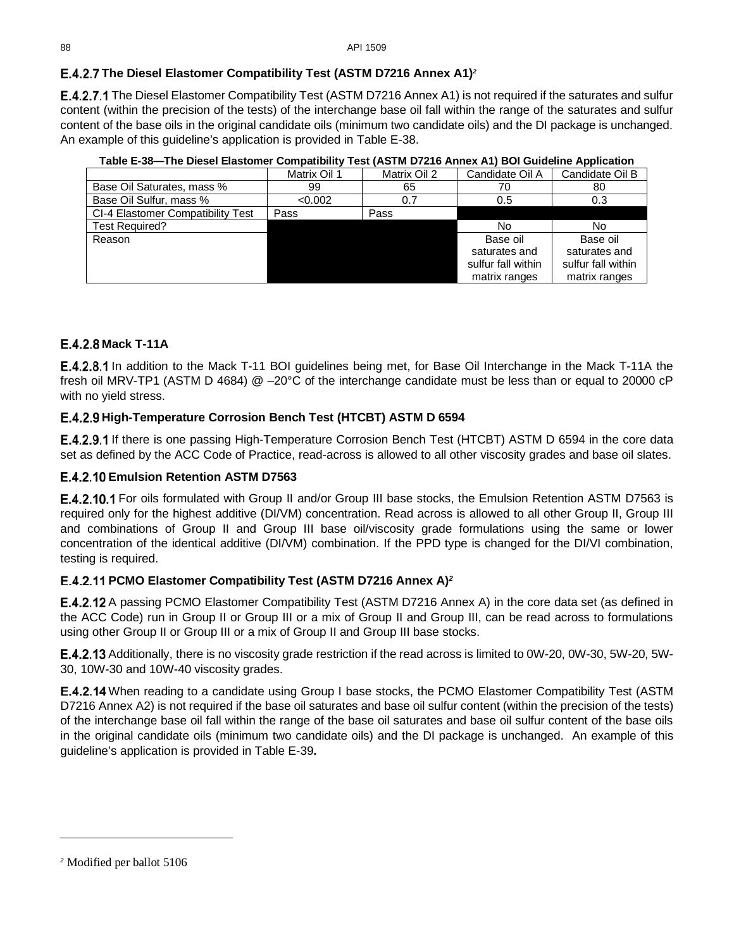## <span id="page-33-3"></span>**The Diesel Elastomer Compatibility Test (ASTM D7216 Annex A1)***[2](#page-33-5)*

**E.4.2.7.1** The Diesel Elastomer Compatibility Test (ASTM D7216 Annex A1) is not required if the saturates and sulfur content (within the precision of the tests) of the interchange base oil fall within the range of the saturates and sulfur content of the base oils in the original candidate oils (minimum two candidate oils) and the DI package is unchanged. An example of this guideline's application is provided in [Table E-38.](#page-33-4)

<span id="page-33-4"></span>

| יווועומונטט וטוווטוטושום וטטטוש טווו |              |              |                    |                    |  |
|--------------------------------------|--------------|--------------|--------------------|--------------------|--|
|                                      | Matrix Oil 1 | Matrix Oil 2 | Candidate Oil A    | Candidate Oil B    |  |
| Base Oil Saturates, mass %           | 99           | 65           | 70                 | 80                 |  |
| Base Oil Sulfur, mass %              | < 0.002      | 0.7          | 0.5                | 0.3                |  |
| CI-4 Elastomer Compatibility Test    | Pass         | Pass         |                    |                    |  |
| Test Required?                       |              |              | No                 | No                 |  |
| Reason                               |              |              | Base oil           | Base oil           |  |
|                                      |              |              | saturates and      | saturates and      |  |
|                                      |              |              | sulfur fall within | sulfur fall within |  |
|                                      |              |              | matrix ranges      | matrix ranges      |  |

**Table E-38—The Diesel Elastomer Compatibility Test (ASTM D7216 Annex A1) BOI Guideline Application**

### <span id="page-33-1"></span>**E.4.2.8 Mack T-11A**

**E.4.2.8.1** In addition to the Mack T-11 BOI guidelines being met, for Base Oil Interchange in the Mack T-11A the fresh oil MRV-TP1 (ASTM D 4684) @ –20°C of the interchange candidate must be less than or equal to 20000 cP with no yield stress.

### <span id="page-33-2"></span>**High-Temperature Corrosion Bench Test (HTCBT) ASTM D 6594**

**E.4.2.9.1** If there is one passing High-Temperature Corrosion Bench Test (HTCBT) ASTM D 6594 in the core data set as defined by the ACC Code of Practice, read-across is allowed to all other viscosity grades and base oil slates.

### **E.4.2.10 Emulsion Retention ASTM D7563**

**E.4.2.10.1** For oils formulated with Group II and/or Group III base stocks, the Emulsion Retention ASTM D7563 is required only for the highest additive (DI/VM) concentration. Read across is allowed to all other Group II, Group III and combinations of Group II and Group III base oil/viscosity grade formulations using the same or lower concentration of the identical additive (DI/VM) combination. If the PPD type is changed for the DI/VI combination, testing is required.

### <span id="page-33-0"></span>**PCMO Elastomer Compatibility Test (ASTM D7216 Annex A)***<sup>2</sup>*

**E.4.2.12** A passing PCMO Elastomer Compatibility Test (ASTM D7216 Annex A) in the core data set (as defined in the ACC Code) run in Group II or Group III or a mix of Group II and Group III, can be read across to formulations using other Group II or Group III or a mix of Group II and Group III base stocks.

**E.4.2.13** Additionally, there is no viscosity grade restriction if the read across is limited to 0W-20, 0W-30, 5W-20, 5W-30, 10W-30 and 10W-40 viscosity grades.

E.4.2.14 When reading to a candidate using Group I base stocks, the PCMO Elastomer Compatibility Test (ASTM D7216 Annex A2) is not required if the base oil saturates and base oil sulfur content (within the precision of the tests) of the interchange base oil fall within the range of the base oil saturates and base oil sulfur content of the base oils in the original candidate oils (minimum two candidate oils) and the DI package is unchanged. An example of this guideline's application is provided in [Table E-39](#page-34-0)**.**

<span id="page-33-5"></span>*<sup>2</sup>* Modified per ballot 5106